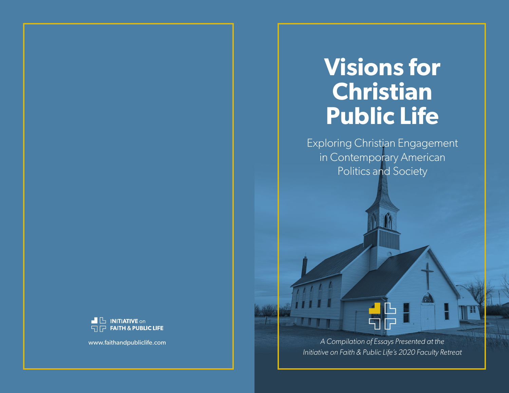# **Visions for Christian Public Life**

Exploring Christian Engagement in Contemporary American Politics and Society

*A Compilation of Essays Presented at the Initiative on Faith & Public Life's 2020 Faculty Retreat*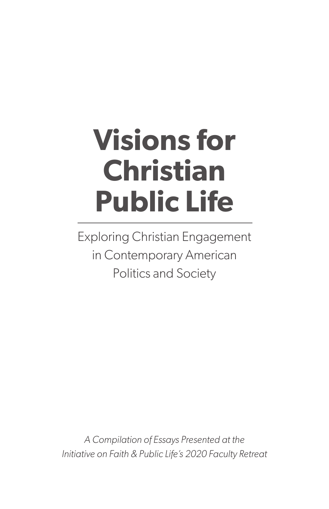# **Visions for Christian Public Life**

Exploring Christian Engagement in Contemporary American Politics and Society

*A Compilation of Essays Presented at the Initiative on Faith & Public Life's 2020 Faculty Retreat*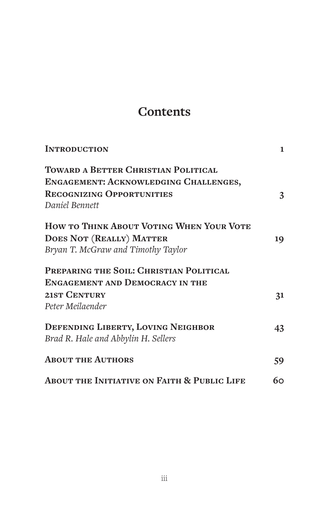# **Contents**

| <b>INTRODUCTION</b>                                    | $\mathbf{1}$ |
|--------------------------------------------------------|--------------|
| TOWARD A BETTER CHRISTIAN POLITICAL                    |              |
| ENGAGEMENT: ACKNOWLEDGING CHALLENGES,                  |              |
| <b>RECOGNIZING OPPORTUNITIES</b>                       | 3            |
| Daniel Bennett                                         |              |
| HOW TO THINK ABOUT VOTING WHEN YOUR VOTE               |              |
| <b>DOES NOT (REALLY) MATTER</b>                        | 19           |
| Bryan T. McGraw and Timothy Taylor                     |              |
| PREPARING THE SOIL: CHRISTIAN POLITICAL                |              |
| <b>ENGAGEMENT AND DEMOCRACY IN THE</b>                 |              |
| 21ST CENTURY                                           | 31           |
| Peter Meilaender                                       |              |
| DEFENDING LIBERTY, LOVING NEIGHBOR                     | 43           |
| Brad R. Hale and Abbylin H. Sellers                    |              |
| <b>ABOUT THE AUTHORS</b>                               | 59           |
| <b>ABOUT THE INITIATIVE ON FAITH &amp; PUBLIC LIFE</b> | 60           |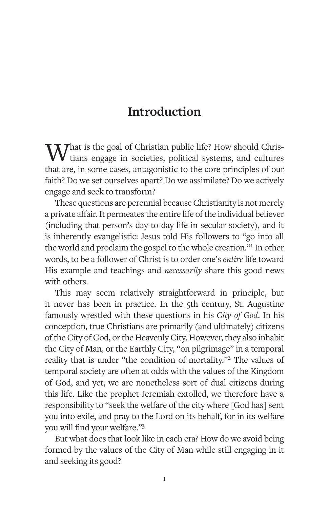# **Introduction**

What is the goal of Christian public life? How should Christians engage in societies, political systems, and cultures that are, in some cases, antagonistic to the core principles of our faith? Do we set ourselves apart? Do we assimilate? Do we actively engage and seek to transform?

These questions are perennial because Christianity is not merely a private affair. It permeates the entire life of the individual believer (including that person's day-to-day life in secular society), and it is inherently evangelistic: Jesus told His followers to "go into all the world and proclaim the gospel to the whole creation."1 In other words, to be a follower of Christ is to order one's *entire* life toward His example and teachings and *necessarily* share this good news with others.

This may seem relatively straightforward in principle, but it never has been in practice. In the 5th century, St. Augustine famously wrestled with these questions in his *City of God*. In his conception, true Christians are primarily (and ultimately) citizens of the City of God, or the Heavenly City. However, they also inhabit the City of Man, or the Earthly City, "on pilgrimage" in a temporal reality that is under "the condition of mortality."2 The values of temporal society are often at odds with the values of the Kingdom of God, and yet, we are nonetheless sort of dual citizens during this life. Like the prophet Jeremiah extolled, we therefore have a responsibility to "seek the welfare of the city where [God has] sent you into exile, and pray to the Lord on its behalf, for in its welfare you will find your welfare."3

But what does that look like in each era? How do we avoid being formed by the values of the City of Man while still engaging in it and seeking its good?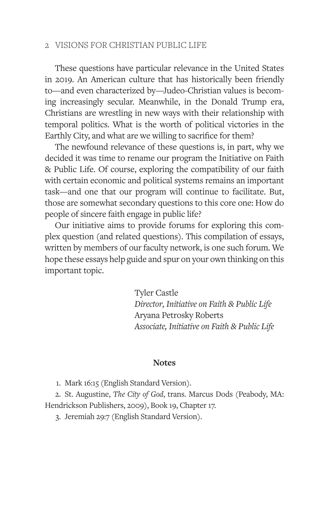These questions have particular relevance in the United States in 2019. An American culture that has historically been friendly to—and even characterized by—Judeo-Christian values is becoming increasingly secular. Meanwhile, in the Donald Trump era, Christians are wrestling in new ways with their relationship with temporal politics. What is the worth of political victories in the Earthly City, and what are we willing to sacrifice for them?

The newfound relevance of these questions is, in part, why we decided it was time to rename our program the Initiative on Faith & Public Life. Of course, exploring the compatibility of our faith with certain economic and political systems remains an important task—and one that our program will continue to facilitate. But, those are somewhat secondary questions to this core one: How do people of sincere faith engage in public life?

Our initiative aims to provide forums for exploring this complex question (and related questions). This compilation of essays, written by members of our faculty network, is one such forum. We hope these essays help guide and spur on your own thinking on this important topic.

> Tyler Castle *Director, Initiative on Faith & Public Life* Aryana Petrosky Roberts *Associate, Initiative on Faith & Public Life*

#### **Notes**

1. Mark 16:15 (English Standard Version).

2. St. Augustine, *The City of God*, trans. Marcus Dods (Peabody, MA: Hendrickson Publishers, 2009), Book 19, Chapter 17.

3. Jeremiah 29:7 (English Standard Version).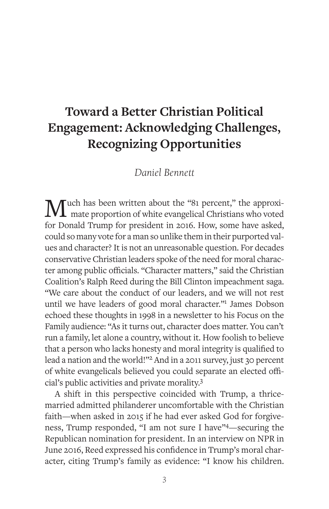# **Toward a Better Christian Political Engagement: Acknowledging Challenges, Recognizing Opportunities**

# *Daniel Bennett*

Much has been written about the "81 percent," the approximate proportion of white evangelical Christians who voted for Donald Trump for president in 2016. How, some have asked, could so many vote for a man so unlike them in their purported values and character? It is not an unreasonable question. For decades conservative Christian leaders spoke of the need for moral character among public officials. "Character matters," said the Christian Coalition's Ralph Reed during the Bill Clinton impeachment saga. "We care about the conduct of our leaders, and we will not rest until we have leaders of good moral character."<sup>1</sup> James Dobson echoed these thoughts in 1998 in a newsletter to his Focus on the Family audience: "As it turns out, character does matter. You can't run a family, let alone a country, without it. How foolish to believe that a person who lacks honesty and moral integrity is qualified to lead a nation and the world!"2 And in a 2011 survey, just 30 percent of white evangelicals believed you could separate an elected official's public activities and private morality.3

A shift in this perspective coincided with Trump, a thricemarried admitted philanderer uncomfortable with the Christian faith—when asked in 2015 if he had ever asked God for forgiveness, Trump responded, "I am not sure I have"4—securing the Republican nomination for president. In an interview on NPR in June 2016, Reed expressed his confidence in Trump's moral character, citing Trump's family as evidence: "I know his children.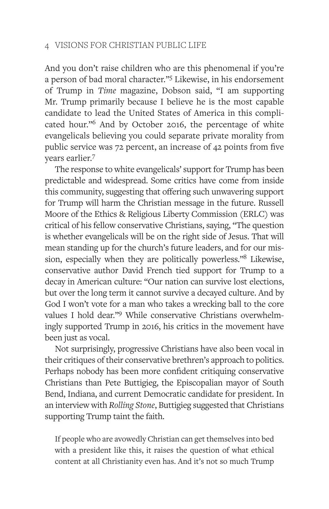And you don't raise children who are this phenomenal if you're a person of bad moral character."5 Likewise, in his endorsement of Trump in *Time* magazine, Dobson said, "I am supporting Mr. Trump primarily because I believe he is the most capable candidate to lead the United States of America in this complicated hour."6 And by October 2016, the percentage of white evangelicals believing you could separate private morality from public service was 72 percent, an increase of 42 points from five years earlier.<sup>7</sup>

The response to white evangelicals' support for Trump has been predictable and widespread. Some critics have come from inside this community, suggesting that offering such unwavering support for Trump will harm the Christian message in the future. Russell Moore of the Ethics & Religious Liberty Commission (ERLC) was critical of his fellow conservative Christians, saying, "The question is whether evangelicals will be on the right side of Jesus. That will mean standing up for the church's future leaders, and for our mission, especially when they are politically powerless."8 Likewise, conservative author David French tied support for Trump to a decay in American culture: "Our nation can survive lost elections, but over the long term it cannot survive a decayed culture. And by God I won't vote for a man who takes a wrecking ball to the core values I hold dear."9 While conservative Christians overwhelmingly supported Trump in 2016, his critics in the movement have been just as vocal.

Not surprisingly, progressive Christians have also been vocal in their critiques of their conservative brethren's approach to politics. Perhaps nobody has been more confident critiquing conservative Christians than Pete Buttigieg, the Episcopalian mayor of South Bend, Indiana, and current Democratic candidate for president. In an interview with *Rolling Stone*, Buttigieg suggested that Christians supporting Trump taint the faith.

If people who are avowedly Christian can get themselves into bed with a president like this, it raises the question of what ethical content at all Christianity even has. And it's not so much Trump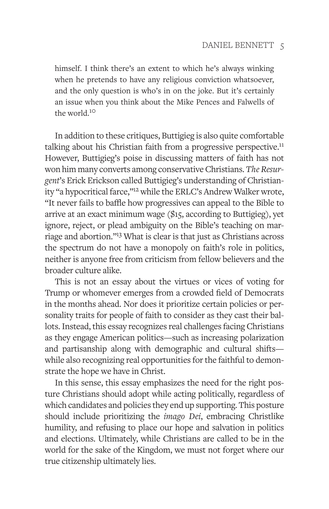himself. I think there's an extent to which he's always winking when he pretends to have any religious conviction whatsoever, and the only question is who's in on the joke. But it's certainly an issue when you think about the Mike Pences and Falwells of the world.10

In addition to these critiques, Buttigieg is also quite comfortable talking about his Christian faith from a progressive perspective.<sup>11</sup> However, Buttigieg's poise in discussing matters of faith has not won him many converts among conservative Christians. *The Resurgent*'s Erick Erickson called Buttigieg's understanding of Christianity "a hypocritical farce,"<sup>12</sup> while the ERLC's Andrew Walker wrote, "It never fails to baffle how progressives can appeal to the Bible to arrive at an exact minimum wage (\$15, according to Buttigieg), yet ignore, reject, or plead ambiguity on the Bible's teaching on marriage and abortion."13 What is clear is that just as Christians across the spectrum do not have a monopoly on faith's role in politics, neither is anyone free from criticism from fellow believers and the broader culture alike.

This is not an essay about the virtues or vices of voting for Trump or whomever emerges from a crowded field of Democrats in the months ahead. Nor does it prioritize certain policies or personality traits for people of faith to consider as they cast their ballots. Instead, this essay recognizes real challenges facing Christians as they engage American politics—such as increasing polarization and partisanship along with demographic and cultural shifts while also recognizing real opportunities for the faithful to demonstrate the hope we have in Christ.

In this sense, this essay emphasizes the need for the right posture Christians should adopt while acting politically, regardless of which candidates and policies they end up supporting. This posture should include prioritizing the *imago Dei*, embracing Christlike humility, and refusing to place our hope and salvation in politics and elections. Ultimately, while Christians are called to be in the world for the sake of the Kingdom, we must not forget where our true citizenship ultimately lies.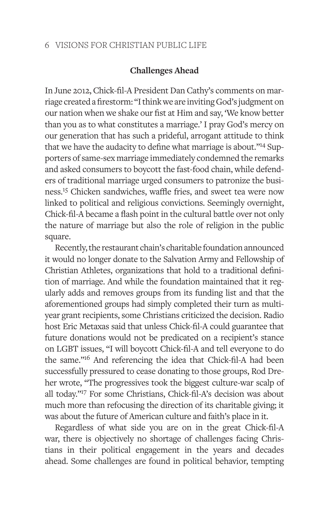# **Challenges Ahead**

In June 2012, Chick-fil-A President Dan Cathy's comments on marriage created a firestorm: "I think we are inviting God's judgment on our nation when we shake our fist at Him and say, 'We know better than you as to what constitutes a marriage.' I pray God's mercy on our generation that has such a prideful, arrogant attitude to think that we have the audacity to define what marriage is about."<sup>14</sup> Supporters of same-sex marriage immediately condemned the remarks and asked consumers to boycott the fast-food chain, while defenders of traditional marriage urged consumers to patronize the business.15 Chicken sandwiches, waffle fries, and sweet tea were now linked to political and religious convictions. Seemingly overnight, Chick-fil-A became a flash point in the cultural battle over not only the nature of marriage but also the role of religion in the public square.

Recently, the restaurant chain's charitable foundation announced it would no longer donate to the Salvation Army and Fellowship of Christian Athletes, organizations that hold to a traditional definition of marriage. And while the foundation maintained that it regularly adds and removes groups from its funding list and that the aforementioned groups had simply completed their turn as multiyear grant recipients, some Christians criticized the decision. Radio host Eric Metaxas said that unless Chick-fil-A could guarantee that future donations would not be predicated on a recipient's stance on LGBT issues, "I will boycott Chick-fil-A and tell everyone to do the same."16 And referencing the idea that Chick-fil-A had been successfully pressured to cease donating to those groups, Rod Dreher wrote, "The progressives took the biggest culture-war scalp of all today."17 For some Christians, Chick-fil-A's decision was about much more than refocusing the direction of its charitable giving; it was about the future of American culture and faith's place in it.

Regardless of what side you are on in the great Chick-fil-A war, there is objectively no shortage of challenges facing Christians in their political engagement in the years and decades ahead. Some challenges are found in political behavior, tempting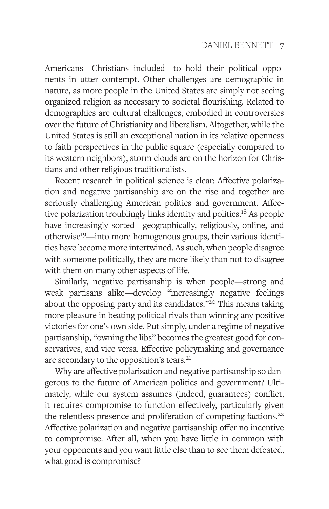Americans—Christians included—to hold their political opponents in utter contempt. Other challenges are demographic in nature, as more people in the United States are simply not seeing organized religion as necessary to societal flourishing. Related to demographics are cultural challenges, embodied in controversies over the future of Christianity and liberalism. Altogether, while the United States is still an exceptional nation in its relative openness to faith perspectives in the public square (especially compared to its western neighbors), storm clouds are on the horizon for Christians and other religious traditionalists.

Recent research in political science is clear: Affective polarization and negative partisanship are on the rise and together are seriously challenging American politics and government. Affective polarization troublingly links identity and politics.18 As people have increasingly sorted—geographically, religiously, online, and otherwise19—into more homogenous groups, their various identities have become more intertwined. As such, when people disagree with someone politically, they are more likely than not to disagree with them on many other aspects of life.

Similarly, negative partisanship is when people—strong and weak partisans alike—develop "increasingly negative feelings about the opposing party and its candidates."20 This means taking more pleasure in beating political rivals than winning any positive victories for one's own side. Put simply, under a regime of negative partisanship, "owning the libs" becomes the greatest good for conservatives, and vice versa. Effective policymaking and governance are secondary to the opposition's tears.<sup>21</sup>

Why are affective polarization and negative partisanship so dangerous to the future of American politics and government? Ultimately, while our system assumes (indeed, guarantees) conflict, it requires compromise to function effectively, particularly given the relentless presence and proliferation of competing factions.<sup>22</sup> Affective polarization and negative partisanship offer no incentive to compromise. After all, when you have little in common with your opponents and you want little else than to see them defeated, what good is compromise?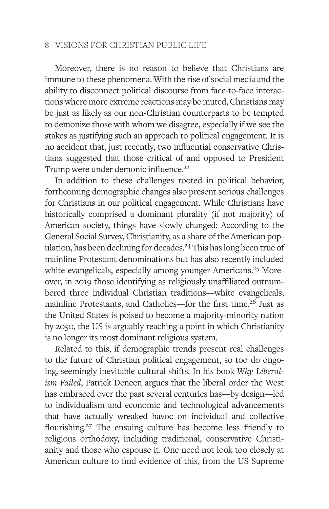Moreover, there is no reason to believe that Christians are immune to these phenomena. With the rise of social media and the ability to disconnect political discourse from face-to-face interactions where more extreme reactions may be muted, Christians may be just as likely as our non-Christian counterparts to be tempted to demonize those with whom we disagree, especially if we see the stakes as justifying such an approach to political engagement. It is no accident that, just recently, two influential conservative Christians suggested that those critical of and opposed to President Trump were under demonic influence.<sup>23</sup>

In addition to these challenges rooted in political behavior, forthcoming demographic changes also present serious challenges for Christians in our political engagement. While Christians have historically comprised a dominant plurality (if not majority) of American society, things have slowly changed: According to the General Social Survey, Christianity, as a share of the American population, has been declining for decades.<sup>24</sup> This has long been true of mainline Protestant denominations but has also recently included white evangelicals, especially among younger Americans.<sup>25</sup> Moreover, in 2019 those identifying as religiously unaffiliated outnumbered three individual Christian traditions—white evangelicals, mainline Protestants, and Catholics—for the first time.<sup>26</sup> Just as the United States is poised to become a majority-minority nation by 2050, the US is arguably reaching a point in which Christianity is no longer its most dominant religious system.

Related to this, if demographic trends present real challenges to the future of Christian political engagement, so too do ongoing, seemingly inevitable cultural shifts. In his book *Why Liberalism Failed*, Patrick Deneen argues that the liberal order the West has embraced over the past several centuries has—by design—led to individualism and economic and technological advancements that have actually wreaked havoc on individual and collective flourishing.27 The ensuing culture has become less friendly to religious orthodoxy, including traditional, conservative Christianity and those who espouse it. One need not look too closely at American culture to find evidence of this, from the US Supreme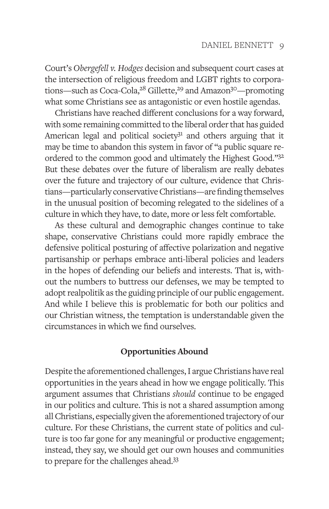Court's *Obergefell v. Hodges* decision and subsequent court cases at the intersection of religious freedom and LGBT rights to corporations—such as Coca-Cola, $28$  Gillette, $29$  and Amazon $30$ —promoting what some Christians see as antagonistic or even hostile agendas.

Christians have reached different conclusions for a way forward, with some remaining committed to the liberal order that has guided American legal and political society $3<sup>1</sup>$  and others arguing that it may be time to abandon this system in favor of "a public square reordered to the common good and ultimately the Highest Good."32 But these debates over the future of liberalism are really debates over the future and trajectory of our culture, evidence that Christians—particularly conservative Christians—are finding themselves in the unusual position of becoming relegated to the sidelines of a culture in which they have, to date, more or less felt comfortable.

As these cultural and demographic changes continue to take shape, conservative Christians could more rapidly embrace the defensive political posturing of affective polarization and negative partisanship or perhaps embrace anti-liberal policies and leaders in the hopes of defending our beliefs and interests. That is, without the numbers to buttress our defenses, we may be tempted to adopt realpolitik as the guiding principle of our public engagement. And while I believe this is problematic for both our politics and our Christian witness, the temptation is understandable given the circumstances in which we find ourselves.

# **Opportunities Abound**

Despite the aforementioned challenges, I argue Christians have real opportunities in the years ahead in how we engage politically. This argument assumes that Christians *should* continue to be engaged in our politics and culture. This is not a shared assumption among all Christians, especially given the aforementioned trajectory of our culture. For these Christians, the current state of politics and culture is too far gone for any meaningful or productive engagement; instead, they say, we should get our own houses and communities to prepare for the challenges ahead.33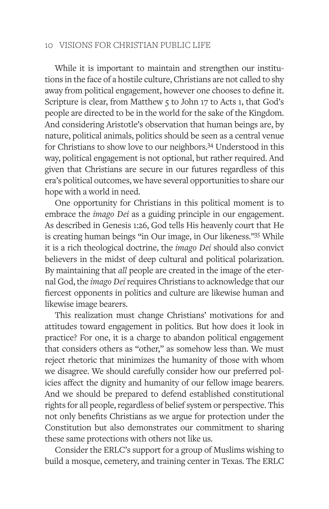While it is important to maintain and strengthen our institutions in the face of a hostile culture, Christians are not called to shy away from political engagement, however one chooses to define it. Scripture is clear, from Matthew 5 to John 17 to Acts 1, that God's people are directed to be in the world for the sake of the Kingdom. And considering Aristotle's observation that human beings are, by nature, political animals, politics should be seen as a central venue for Christians to show love to our neighbors.34 Understood in this way, political engagement is not optional, but rather required. And given that Christians are secure in our futures regardless of this era's political outcomes, we have several opportunities to share our hope with a world in need.

One opportunity for Christians in this political moment is to embrace the *imago Dei* as a guiding principle in our engagement. As described in Genesis 1:26, God tells His heavenly court that He is creating human beings "in Our image, in Our likeness."35 While it is a rich theological doctrine, the *imago Dei* should also convict believers in the midst of deep cultural and political polarization. By maintaining that *all* people are created in the image of the eternal God, the *imago Dei* requires Christians to acknowledge that our fiercest opponents in politics and culture are likewise human and likewise image bearers.

This realization must change Christians' motivations for and attitudes toward engagement in politics. But how does it look in practice? For one, it is a charge to abandon political engagement that considers others as "other," as somehow less than. We must reject rhetoric that minimizes the humanity of those with whom we disagree. We should carefully consider how our preferred policies affect the dignity and humanity of our fellow image bearers. And we should be prepared to defend established constitutional rights for all people, regardless of belief system or perspective. This not only benefits Christians as we argue for protection under the Constitution but also demonstrates our commitment to sharing these same protections with others not like us.

Consider the ERLC's support for a group of Muslims wishing to build a mosque, cemetery, and training center in Texas. The ERLC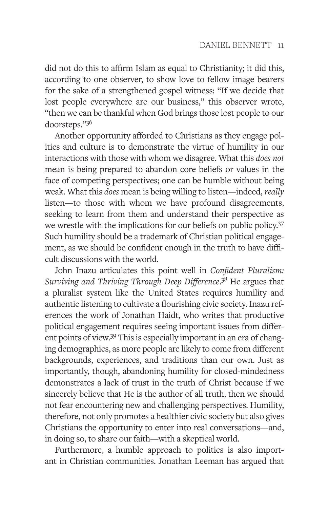did not do this to affirm Islam as equal to Christianity; it did this, according to one observer, to show love to fellow image bearers for the sake of a strengthened gospel witness: "If we decide that lost people everywhere are our business," this observer wrote, "then we can be thankful when God brings those lost people to our doorsteps."36

Another opportunity afforded to Christians as they engage politics and culture is to demonstrate the virtue of humility in our interactions with those with whom we disagree. What this *does not* mean is being prepared to abandon core beliefs or values in the face of competing perspectives; one can be humble without being weak. What this *does* mean is being willing to listen—indeed, *really*  listen—to those with whom we have profound disagreements, seeking to learn from them and understand their perspective as we wrestle with the implications for our beliefs on public policy.37 Such humility should be a trademark of Christian political engagement, as we should be confident enough in the truth to have difficult discussions with the world.

John Inazu articulates this point well in *Confident Pluralism: Surviving and Thriving Through Deep Difference*. 38 He argues that a pluralist system like the United States requires humility and authentic listening to cultivate a flourishing civic society. Inazu references the work of Jonathan Haidt, who writes that productive political engagement requires seeing important issues from different points of view.39 This is especially important in an era of changing demographics, as more people are likely to come from different backgrounds, experiences, and traditions than our own. Just as importantly, though, abandoning humility for closed-mindedness demonstrates a lack of trust in the truth of Christ because if we sincerely believe that He is the author of all truth, then we should not fear encountering new and challenging perspectives. Humility, therefore, not only promotes a healthier civic society but also gives Christians the opportunity to enter into real conversations—and, in doing so, to share our faith—with a skeptical world.

Furthermore, a humble approach to politics is also important in Christian communities. Jonathan Leeman has argued that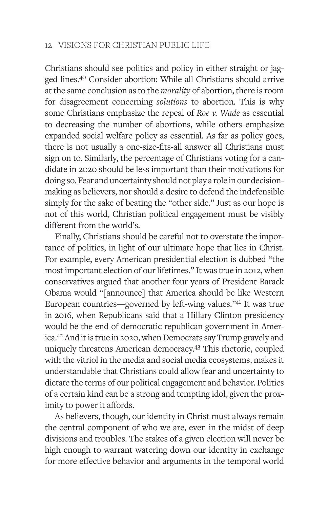Christians should see politics and policy in either straight or jagged lines.40 Consider abortion: While all Christians should arrive at the same conclusion as to the *morality* of abortion, there is room for disagreement concerning *solutions* to abortion. This is why some Christians emphasize the repeal of *Roe v. Wade* as essential to decreasing the number of abortions, while others emphasize expanded social welfare policy as essential. As far as policy goes, there is not usually a one-size-fits-all answer all Christians must sign on to. Similarly, the percentage of Christians voting for a candidate in 2020 should be less important than their motivations for doing so. Fear and uncertainty should not play a role in our decisionmaking as believers, nor should a desire to defend the indefensible simply for the sake of beating the "other side." Just as our hope is not of this world, Christian political engagement must be visibly different from the world's.

Finally, Christians should be careful not to overstate the importance of politics, in light of our ultimate hope that lies in Christ. For example, every American presidential election is dubbed "the most important election of our lifetimes." It was true in 2012, when conservatives argued that another four years of President Barack Obama would "[announce] that America should be like Western European countries—governed by left-wing values."41 It was true in 2016, when Republicans said that a Hillary Clinton presidency would be the end of democratic republican government in America.42 And it is true in 2020, when Democrats say Trump gravely and uniquely threatens American democracy.43 This rhetoric, coupled with the vitriol in the media and social media ecosystems, makes it understandable that Christians could allow fear and uncertainty to dictate the terms of our political engagement and behavior. Politics of a certain kind can be a strong and tempting idol, given the proximity to power it affords.

As believers, though, our identity in Christ must always remain the central component of who we are, even in the midst of deep divisions and troubles. The stakes of a given election will never be high enough to warrant watering down our identity in exchange for more effective behavior and arguments in the temporal world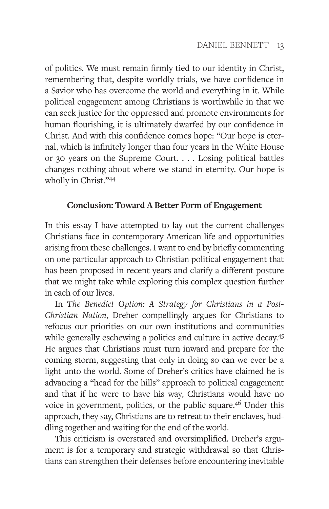of politics. We must remain firmly tied to our identity in Christ, remembering that, despite worldly trials, we have confidence in a Savior who has overcome the world and everything in it. While political engagement among Christians is worthwhile in that we can seek justice for the oppressed and promote environments for human flourishing, it is ultimately dwarfed by our confidence in Christ. And with this confidence comes hope: "Our hope is eternal, which is infinitely longer than four years in the White House or 30 years on the Supreme Court. . . . Losing political battles changes nothing about where we stand in eternity. Our hope is wholly in Christ."44

# **Conclusion: Toward A Better Form of Engagement**

In this essay I have attempted to lay out the current challenges Christians face in contemporary American life and opportunities arising from these challenges. I want to end by briefly commenting on one particular approach to Christian political engagement that has been proposed in recent years and clarify a different posture that we might take while exploring this complex question further in each of our lives.

In *The Benedict Option: A Strategy for Christians in a Post-Christian Nation*, Dreher compellingly argues for Christians to refocus our priorities on our own institutions and communities while generally eschewing a politics and culture in active decay.<sup>45</sup> He argues that Christians must turn inward and prepare for the coming storm, suggesting that only in doing so can we ever be a light unto the world. Some of Dreher's critics have claimed he is advancing a "head for the hills" approach to political engagement and that if he were to have his way, Christians would have no voice in government, politics, or the public square.46 Under this approach, they say, Christians are to retreat to their enclaves, huddling together and waiting for the end of the world.

This criticism is overstated and oversimplified. Dreher's argument is for a temporary and strategic withdrawal so that Christians can strengthen their defenses before encountering inevitable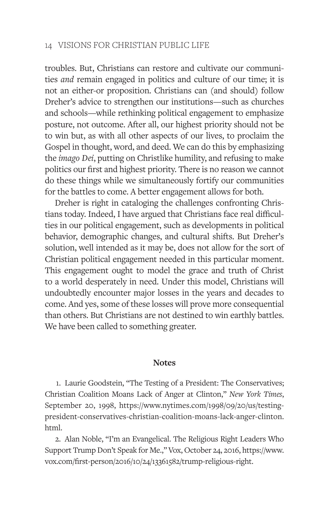troubles. But, Christians can restore and cultivate our communities *and* remain engaged in politics and culture of our time; it is not an either-or proposition. Christians can (and should) follow Dreher's advice to strengthen our institutions—such as churches and schools—while rethinking political engagement to emphasize posture, not outcome. After all, our highest priority should not be to win but, as with all other aspects of our lives, to proclaim the Gospel in thought, word, and deed. We can do this by emphasizing the *imago Dei*, putting on Christlike humility, and refusing to make politics our first and highest priority. There is no reason we cannot do these things while we simultaneously fortify our communities for the battles to come. A better engagement allows for both.

Dreher is right in cataloging the challenges confronting Christians today. Indeed, I have argued that Christians face real difficulties in our political engagement, such as developments in political behavior, demographic changes, and cultural shifts. But Dreher's solution, well intended as it may be, does not allow for the sort of Christian political engagement needed in this particular moment. This engagement ought to model the grace and truth of Christ to a world desperately in need. Under this model, Christians will undoubtedly encounter major losses in the years and decades to come. And yes, some of these losses will prove more consequential than others. But Christians are not destined to win earthly battles. We have been called to something greater.

#### **Notes**

1. Laurie Goodstein, "The Testing of a President: The Conservatives; Christian Coalition Moans Lack of Anger at Clinton," *New York Times*, September 20, 1998, https://www.nytimes.com/1998/09/20/us/testingpresident-conservatives-christian-coalition-moans-lack-anger-clinton. html.

2. Alan Noble, "I'm an Evangelical. The Religious Right Leaders Who Support Trump Don't Speak for Me.," Vox, October 24, 2016, https://www. vox.com/first-person/2016/10/24/13361582/trump-religious-right.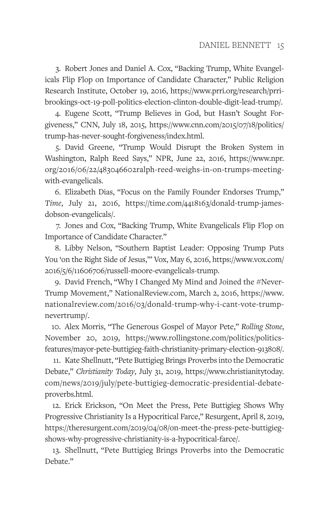3. Robert Jones and Daniel A. Cox, "Backing Trump, White Evangelicals Flip Flop on Importance of Candidate Character," Public Religion Research Institute, October 19, 2016, https://www.prri.org/research/prribrookings-oct-19-poll-politics-election-clinton-double-digit-lead-trump/.

4. Eugene Scott, "Trump Believes in God, but Hasn't Sought Forgiveness," CNN, July 18, 2015, https://www.cnn.com/2015/07/18/politics/ trump-has-never-sought-forgiveness/index.html.

5. David Greene, "Trump Would Disrupt the Broken System in Washington, Ralph Reed Says," NPR, June 22, 2016, https://www.npr. org/2016/06/22/483046602ralph-reed-weighs-in-on-trumps-meetingwith-evangelicals.

6. Elizabeth Dias, "Focus on the Family Founder Endorses Trump," *Time*, July 21, 2016, https://time.com/4418163/donald-trump-jamesdobson-evangelicals/.

7. Jones and Cox, "Backing Trump, White Evangelicals Flip Flop on Importance of Candidate Character."

8. Libby Nelson, "Southern Baptist Leader: Opposing Trump Puts You 'on the Right Side of Jesus,'" Vox, May 6, 2016, https://www.vox.com/ 2016/5/6/11606706/russell-moore-evangelicals-trump.

9. David French, "Why I Changed My Mind and Joined the #Never-Trump Movement," NationalReview.com, March 2, 2016, https://www. nationalreview.com/2016/03/donald-trump-why-i-cant-vote-trumpnevertrump/.

10. Alex Morris, "The Generous Gospel of Mayor Pete," *Rolling Stone*, November 20, 2019, https://www.rollingstone.com/politics/politicsfeatures/mayor-pete-buttigieg-faith-christianity-primary-election-913808/.

11. Kate Shellnutt, "Pete Buttigieg Brings Proverbs into the Democratic Debate," *Christianity Today*, July 31, 2019, https://www.christianitytoday. com/news/2019/july/pete-buttigieg-democratic-presidential-debateproverbs.html.

12. Erick Erickson, "On Meet the Press, Pete Buttigieg Shows Why Progressive Christianity Is a Hypocritical Farce," Resurgent, April 8, 2019, https://theresurgent.com/2019/04/08/on-meet-the-press-pete-buttigiegshows-why-progressive-christianity-is-a-hypocritical-farce/.

13. Shellnutt, "Pete Buttigieg Brings Proverbs into the Democratic Debate."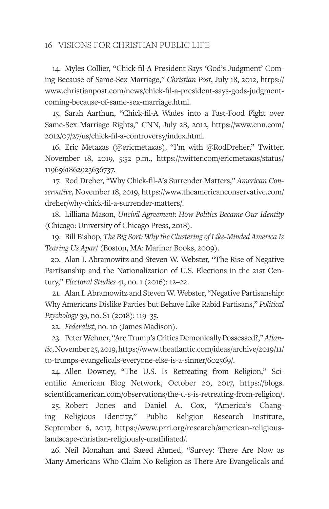14. Myles Collier, "Chick-fil-A President Says 'God's Judgment' Coming Because of Same-Sex Marriage," *Christian Post*, July 18, 2012, https:// www.christianpost.com/news/chick-fil-a-president-says-gods-judgmentcoming-because-of-same-sex-marriage.html.

15. Sarah Aarthun, "Chick-fil-A Wades into a Fast-Food Fight over Same-Sex Marriage Rights," CNN, July 28, 2012, https://www.cnn.com/ 2012/07/27/us/chick-fil-a-controversy/index.html.

16. Eric Metaxas (@ericmetaxas), "I'm with @RodDreher," Twitter, November 18, 2019, 5:52 p.m., https://twitter.com/ericmetaxas/status/ 1196561862923636737.

17. Rod Dreher, "Why Chick-fil-A's Surrender Matters," *American Conservative*, November 18, 2019, https://www.theamericanconservative.com/ dreher/why-chick-fil-a-surrender-matters/.

18. Lilliana Mason, *Uncivil Agreement: How Politics Became Our Identity* (Chicago: University of Chicago Press, 2018).

19. Bill Bishop, *The Big Sort: Why the Clustering of Like-Minded America Is Tearing Us Apart* (Boston, MA: Mariner Books, 2009).

20. Alan I. Abramowitz and Steven W. Webster, "The Rise of Negative Partisanship and the Nationalization of U.S. Elections in the 21st Century," *Electoral Studies* 41, no. 1 (2016): 12–22.

21. Alan I. Abramowitz and Steven W. Webster, "Negative Partisanship: Why Americans Dislike Parties but Behave Like Rabid Partisans," *Political Psychology* 39, no. S1 (2018): 119–35.

22. *Federalist*, no. 10 (James Madison).

23. Peter Wehner, "Are Trump's Critics Demonically Possessed?," *Atlantic*, November 25, 2019, https://www.theatlantic.com/ideas/archive/2019/11/ to-trumps-evangelicals-everyone-else-is-a-sinner/602569/.

24. Allen Downey, "The U.S. Is Retreating from Religion," Scientific American Blog Network, October 20, 2017, https://blogs. scientificamerican.com/observations/the-u-s-is-retreating-from-religion/.

25. Robert Jones and Daniel A. Cox, "America's Changing Religious Identity," Public Religion Research Institute, September 6, 2017, https://www.prri.org/research/american-religiouslandscape-christian-religiously-unaffiliated/.

26. Neil Monahan and Saeed Ahmed, "Survey: There Are Now as Many Americans Who Claim No Religion as There Are Evangelicals and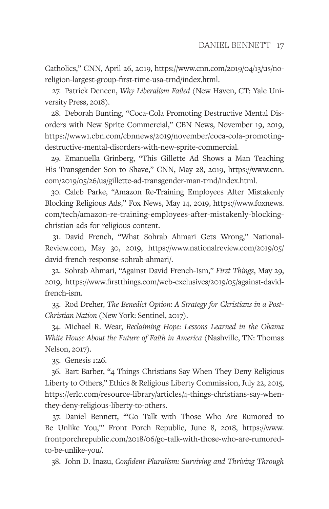Catholics," CNN, April 26, 2019, https://www.cnn.com/2019/04/13/us/noreligion-largest-group-first-time-usa-trnd/index.html.

27. Patrick Deneen, *Why Liberalism Failed* (New Haven, CT: Yale University Press, 2018).

28. Deborah Bunting, "Coca-Cola Promoting Destructive Mental Disorders with New Sprite Commercial," CBN News, November 19, 2019, https://www1.cbn.com/cbnnews/2019/november/coca-cola-promotingdestructive-mental-disorders-with-new-sprite-commercial.

29. Emanuella Grinberg, "This Gillette Ad Shows a Man Teaching His Transgender Son to Shave," CNN, May 28, 2019, https://www.cnn. com/2019/05/26/us/gillette-ad-transgender-man-trnd/index.html.

30. Caleb Parke, "Amazon Re-Training Employees After Mistakenly Blocking Religious Ads," Fox News, May 14, 2019, https://www.foxnews. com/tech/amazon-re-training-employees-after-mistakenly-blockingchristian-ads-for-religious-content.

31. David French, "What Sohrab Ahmari Gets Wrong," National-Review.com, May 30, 2019, https://www.nationalreview.com/2019/05/ david-french-response-sohrab-ahmari/.

32. Sohrab Ahmari, "Against David French-Ism," *First Things*, May 29, 2019, https://www.firstthings.com/web-exclusives/2019/05/against-davidfrench-ism.

33. Rod Dreher, *The Benedict Option: A Strategy for Christians in a Post-Christian Nation* (New York: Sentinel, 2017).

34. Michael R. Wear, *Reclaiming Hope: Lessons Learned in the Obama White House About the Future of Faith in America* (Nashville, TN: Thomas Nelson, 2017).

35. Genesis 1:26.

36. Bart Barber, "4 Things Christians Say When They Deny Religious Liberty to Others," Ethics & Religious Liberty Commission, July 22, 2015, https://erlc.com/resource-library/articles/4-things-christians-say-whenthey-deny-religious-liberty-to-others.

37. Daniel Bennett, "'Go Talk with Those Who Are Rumored to Be Unlike You,'" Front Porch Republic, June 8, 2018, https://www. frontporchrepublic.com/2018/06/go-talk-with-those-who-are-rumoredto-be-unlike-you/.

38. John D. Inazu, *Confident Pluralism: Surviving and Thriving Through*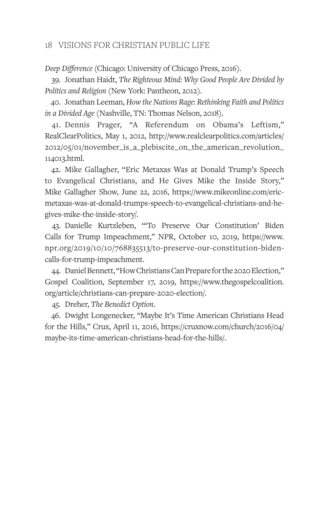*Deep Difference* (Chicago: University of Chicago Press, 2016).

39. Jonathan Haidt, *The Righteous Mind: Why Good People Are Divided by Politics and Religion* (New York: Pantheon, 2012).

40. Jonathan Leeman, *How the Nations Rage: Rethinking Faith and Politics in a Divided Age* (Nashville, TN: Thomas Nelson, 2018).

41. Dennis Prager, "A Referendum on Obama's Leftism," RealClearPolitics, May 1, 2012, http://www.realclearpolitics.com/articles/ 2012/05/01/november\_is\_a\_plebiscite\_on\_the\_american\_revolution\_ 114013.html.

42. Mike Gallagher, "Eric Metaxas Was at Donald Trump's Speech to Evangelical Christians, and He Gives Mike the Inside Story," Mike Gallagher Show, June 22, 2016, https://www.mikeonline.com/ericmetaxas-was-at-donald-trumps-speech-to-evangelical-christians-and-hegives-mike-the-inside-story/.

43. Danielle Kurtzleben, "'To Preserve Our Constitution' Biden Calls for Trump Impeachment," NPR, October 10, 2019, https://www. npr.org/2019/10/10/768835513/to-preserve-our-constitution-bidencalls-for-trump-impeachment.

44. Daniel Bennett, "How Christians Can Prepare for the 2020 Election," Gospel Coalition, September 17, 2019, https://www.thegospelcoalition. org/article/christians-can-prepare-2020-election/.

45. Dreher, *The Benedict Option*.

46. Dwight Longenecker, "Maybe It's Time American Christians Head for the Hills," Crux, April 11, 2016, https://cruxnow.com/church/2016/04/ maybe-its-time-american-christians-head-for-the-hills/.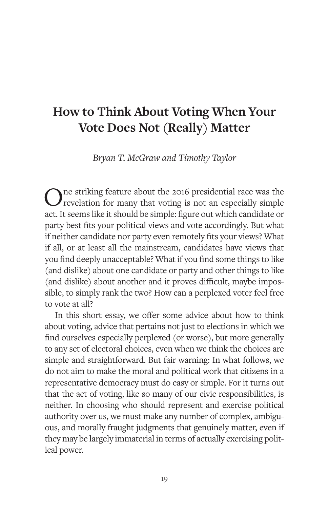# **How to Think About Voting When Your Vote Does Not (Really) Matter**

*Bryan T. McGraw and Timothy Taylor*

One striking feature about the 2016 presidential race was the revelation for many that voting is not an especially simple act. It seems like it should be simple: figure out which candidate or party best fits your political views and vote accordingly. But what if neither candidate nor party even remotely fits your views? What if all, or at least all the mainstream, candidates have views that you find deeply unacceptable? What if you find some things to like (and dislike) about one candidate or party and other things to like (and dislike) about another and it proves difficult, maybe impossible, to simply rank the two? How can a perplexed voter feel free to vote at all?

In this short essay, we offer some advice about how to think about voting, advice that pertains not just to elections in which we find ourselves especially perplexed (or worse), but more generally to any set of electoral choices, even when we think the choices are simple and straightforward. But fair warning: In what follows, we do not aim to make the moral and political work that citizens in a representative democracy must do easy or simple. For it turns out that the act of voting, like so many of our civic responsibilities, is neither. In choosing who should represent and exercise political authority over us, we must make any number of complex, ambiguous, and morally fraught judgments that genuinely matter, even if they may be largely immaterial in terms of actually exercising political power.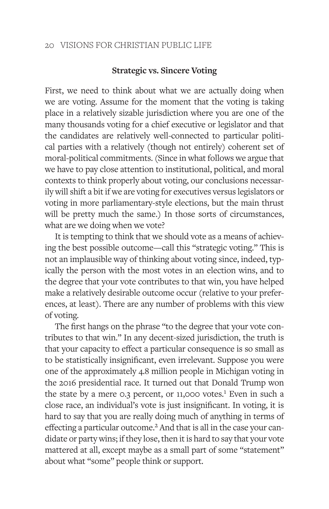## **Strategic vs. Sincere Voting**

First, we need to think about what we are actually doing when we are voting. Assume for the moment that the voting is taking place in a relatively sizable jurisdiction where you are one of the many thousands voting for a chief executive or legislator and that the candidates are relatively well-connected to particular political parties with a relatively (though not entirely) coherent set of moral-political commitments. (Since in what follows we argue that we have to pay close attention to institutional, political, and moral contexts to think properly about voting, our conclusions necessarily will shift a bit if we are voting for executives versus legislators or voting in more parliamentary-style elections, but the main thrust will be pretty much the same.) In those sorts of circumstances, what are we doing when we vote?

It is tempting to think that we should vote as a means of achieving the best possible outcome—call this "strategic voting." This is not an implausible way of thinking about voting since, indeed, typically the person with the most votes in an election wins, and to the degree that your vote contributes to that win, you have helped make a relatively desirable outcome occur (relative to your preferences, at least). There are any number of problems with this view of voting.

The first hangs on the phrase "to the degree that your vote contributes to that win." In any decent-sized jurisdiction, the truth is that your capacity to effect a particular consequence is so small as to be statistically insignificant, even irrelevant. Suppose you were one of the approximately 4.8 million people in Michigan voting in the 2016 presidential race. It turned out that Donald Trump won the state by a mere 0.3 percent, or 11,000 votes.<sup>1</sup> Even in such a close race, an individual's vote is just insignificant. In voting, it is hard to say that you are really doing much of anything in terms of effecting a particular outcome.<sup>2</sup> And that is all in the case your candidate or party wins; if they lose, then it is hard to say that your vote mattered at all, except maybe as a small part of some "statement" about what "some" people think or support.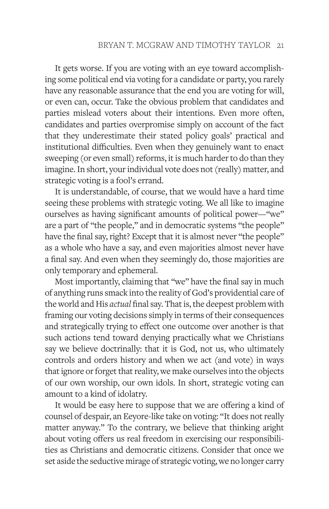It gets worse. If you are voting with an eye toward accomplishing some political end via voting for a candidate or party, you rarely have any reasonable assurance that the end you are voting for will, or even can, occur. Take the obvious problem that candidates and parties mislead voters about their intentions. Even more often, candidates and parties overpromise simply on account of the fact that they underestimate their stated policy goals' practical and institutional difficulties. Even when they genuinely want to enact sweeping (or even small) reforms, it is much harder to do than they imagine. In short, your individual vote does not (really) matter, and strategic voting is a fool's errand.

It is understandable, of course, that we would have a hard time seeing these problems with strategic voting. We all like to imagine ourselves as having significant amounts of political power—"we" are a part of "the people," and in democratic systems "the people" have the final say, right? Except that it is almost never "the people" as a whole who have a say, and even majorities almost never have a final say. And even when they seemingly do, those majorities are only temporary and ephemeral.

Most importantly, claiming that "we" have the final say in much of anything runs smack into the reality of God's providential care of the world and His *actual* final say. That is, the deepest problem with framing our voting decisions simply in terms of their consequences and strategically trying to effect one outcome over another is that such actions tend toward denying practically what we Christians say we believe doctrinally: that it is God, not us, who ultimately controls and orders history and when we act (and vote) in ways that ignore or forget that reality, we make ourselves into the objects of our own worship, our own idols. In short, strategic voting can amount to a kind of idolatry.

It would be easy here to suppose that we are offering a kind of counsel of despair, an Eeyore-like take on voting: "It does not really matter anyway." To the contrary, we believe that thinking aright about voting offers us real freedom in exercising our responsibilities as Christians and democratic citizens. Consider that once we set aside the seductive mirage of strategic voting, we no longer carry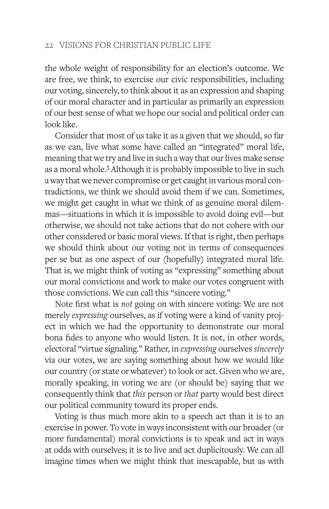the whole weight of responsibility for an election's outcome. We are free, we think, to exercise our civic responsibilities, including our voting, sincerely, to think about it as an expression and shaping of our moral character and in particular as primarily an expression of our best sense of what we hope our social and political order can look like.

Consider that most of us take it as a given that we should, so far as we can, live what some have called an "integrated" moral life, meaning that we try and live in such a way that our lives make sense as a moral whole.<sup>3</sup> Although it is probably impossible to live in such a way that we never compromise or get caught in various moral contradictions, we think we should avoid them if we can. Sometimes, we might get caught in what we think of as genuine moral dilemmas—situations in which it is impossible to avoid doing evil—but otherwise, we should not take actions that do not cohere with our other considered or basic moral views. If that is right, then perhaps we should think about our voting not in terms of consequences per se but as one aspect of our (hopefully) integrated moral life. That is, we might think of voting as "expressing" something about our moral convictions and work to make our votes congruent with those convictions. We can call this "sincere voting."

Note first what is *not* going on with sincere voting: We are not merely *expressing* ourselves, as if voting were a kind of vanity project in which we had the opportunity to demonstrate our moral bona fides to anyone who would listen. It is not, in other words, electoral "virtue signaling." Rather, in *expressing* ourselves *sincerely*  via our votes, we are saying something about how we would like our country (or state or whatever) to look or act. Given who *we* are, morally speaking, in voting we are (or should be) saying that we consequently think that *this* person or *that* party would best direct our political community toward its proper ends.

Voting is thus much more akin to a speech act than it is to an exercise in power. To vote in ways inconsistent with our broader (or more fundamental) moral convictions is to speak and act in ways at odds with ourselves; it is to live and act duplicitously. We can all imagine times when we might think that inescapable, but as with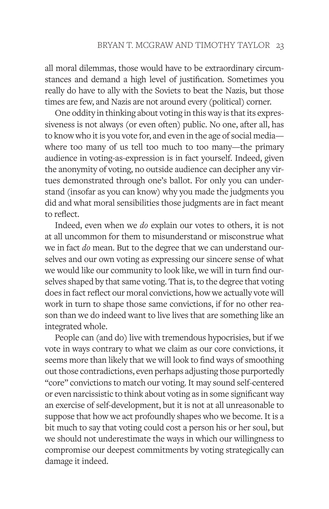all moral dilemmas, those would have to be extraordinary circumstances and demand a high level of justification. Sometimes you really do have to ally with the Soviets to beat the Nazis, but those times are few, and Nazis are not around every (political) corner.

One oddity in thinking about voting in this way is that its expressiveness is not always (or even often) public. No one, after all, has to know who it is you vote for, and even in the age of social media where too many of us tell too much to too many—the primary audience in voting-as-expression is in fact yourself. Indeed, given the anonymity of voting, no outside audience can decipher any virtues demonstrated through one's ballot. For only you can understand (insofar as you can know) why you made the judgments you did and what moral sensibilities those judgments are in fact meant to reflect.

Indeed, even when we *do* explain our votes to others, it is not at all uncommon for them to misunderstand or misconstrue what we in fact *do* mean. But to the degree that we can understand ourselves and our own voting as expressing our sincere sense of what we would like our community to look like, we will in turn find ourselves shaped by that same voting. That is, to the degree that voting does in fact reflect our moral convictions, how we actually vote will work in turn to shape those same convictions, if for no other reason than we do indeed want to live lives that are something like an integrated whole.

People can (and do) live with tremendous hypocrisies, but if we vote in ways contrary to what we claim as our core convictions, it seems more than likely that we will look to find ways of smoothing out those contradictions, even perhaps adjusting those purportedly "core" convictions to match our voting. It may sound self-centered or even narcissistic to think about voting as in some significant way an exercise of self-development, but it is not at all unreasonable to suppose that how we act profoundly shapes who we become. It is a bit much to say that voting could cost a person his or her soul, but we should not underestimate the ways in which our willingness to compromise our deepest commitments by voting strategically can damage it indeed.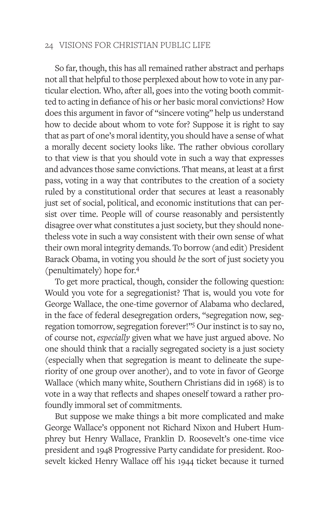So far, though, this has all remained rather abstract and perhaps not all that helpful to those perplexed about how to vote in any particular election. Who, after all, goes into the voting booth committed to acting in defiance of his or her basic moral convictions? How does this argument in favor of "sincere voting" help us understand how to decide about whom to vote for? Suppose it is right to say that as part of one's moral identity, you should have a sense of what a morally decent society looks like. The rather obvious corollary to that view is that you should vote in such a way that expresses and advances those same convictions. That means, at least at a first pass, voting in a way that contributes to the creation of a society ruled by a constitutional order that secures at least a reasonably just set of social, political, and economic institutions that can persist over time. People will of course reasonably and persistently disagree over what constitutes a just society, but they should nonetheless vote in such a way consistent with their own sense of what their own moral integrity demands. To borrow (and edit) President Barack Obama, in voting you should *be* the sort of just society you (penultimately) hope for.4

To get more practical, though, consider the following question: Would you vote for a segregationist? That is, would you vote for George Wallace, the one-time governor of Alabama who declared, in the face of federal desegregation orders, "segregation now, segregation tomorrow, segregation forever!"5 Our instinct is to say no, of course not, *especially* given what we have just argued above. No one should think that a racially segregated society is a just society (especially when that segregation is meant to delineate the superiority of one group over another), and to vote in favor of George Wallace (which many white, Southern Christians did in 1968) is to vote in a way that reflects and shapes oneself toward a rather profoundly immoral set of commitments.

But suppose we make things a bit more complicated and make George Wallace's opponent not Richard Nixon and Hubert Humphrey but Henry Wallace, Franklin D. Roosevelt's one-time vice president and 1948 Progressive Party candidate for president. Roosevelt kicked Henry Wallace off his 1944 ticket because it turned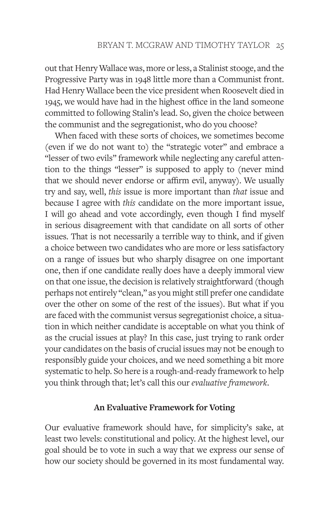out that Henry Wallace was, more or less, a Stalinist stooge, and the Progressive Party was in 1948 little more than a Communist front. Had Henry Wallace been the vice president when Roosevelt died in 1945, we would have had in the highest office in the land someone committed to following Stalin's lead. So, given the choice between the communist and the segregationist, who do you choose?

When faced with these sorts of choices, we sometimes become (even if we do not want to) the "strategic voter" and embrace a "lesser of two evils" framework while neglecting any careful attention to the things "lesser" is supposed to apply to (never mind that we should never endorse or affirm evil, anyway). We usually try and say, well, *this* issue is more important than *that* issue and because I agree with *this* candidate on the more important issue, I will go ahead and vote accordingly, even though I find myself in serious disagreement with that candidate on all sorts of other issues. That is not necessarily a terrible way to think, and if given a choice between two candidates who are more or less satisfactory on a range of issues but who sharply disagree on one important one, then if one candidate really does have a deeply immoral view on that one issue, the decision is relatively straightforward (though perhaps not entirely "clean," as you might still prefer one candidate over the other on some of the rest of the issues). But what if you are faced with the communist versus segregationist choice, a situation in which neither candidate is acceptable on what you think of as the crucial issues at play? In this case, just trying to rank order your candidates on the basis of crucial issues may not be enough to responsibly guide your choices, and we need something a bit more systematic to help. So here is a rough-and-ready framework to help you think through that; let's call this our *evaluative framework*.

## **An Evaluative Framework for Voting**

Our evaluative framework should have, for simplicity's sake, at least two levels: constitutional and policy. At the highest level, our goal should be to vote in such a way that we express our sense of how our society should be governed in its most fundamental way.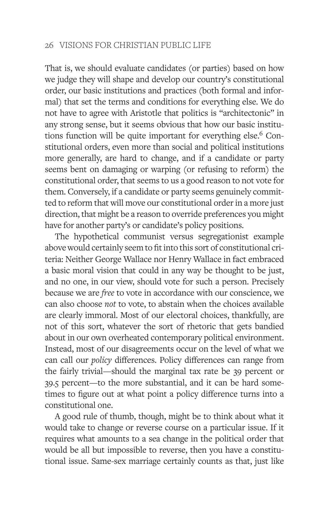That is, we should evaluate candidates (or parties) based on how we judge they will shape and develop our country's constitutional order, our basic institutions and practices (both formal and informal) that set the terms and conditions for everything else. We do not have to agree with Aristotle that politics is "architectonic" in any strong sense, but it seems obvious that how our basic institutions function will be quite important for everything else.<sup>6</sup> Constitutional orders, even more than social and political institutions more generally, are hard to change, and if a candidate or party seems bent on damaging or warping (or refusing to reform) the constitutional order, that seems to us a good reason to not vote for them. Conversely, if a candidate or party seems genuinely committed to reform that will move our constitutional order in a more just direction, that might be a reason to override preferences you might have for another party's or candidate's policy positions.

The hypothetical communist versus segregationist example above would certainly seem to fit into this sort of constitutional criteria: Neither George Wallace nor Henry Wallace in fact embraced a basic moral vision that could in any way be thought to be just, and no one, in our view, should vote for such a person. Precisely because we are *free* to vote in accordance with our conscience, we can also choose *not* to vote, to abstain when the choices available are clearly immoral. Most of our electoral choices, thankfully, are not of this sort, whatever the sort of rhetoric that gets bandied about in our own overheated contemporary political environment. Instead, most of our disagreements occur on the level of what we can call our *policy* differences. Policy differences can range from the fairly trivial—should the marginal tax rate be 39 percent or 39.5 percent—to the more substantial, and it can be hard sometimes to figure out at what point a policy difference turns into a constitutional one.

A good rule of thumb, though, might be to think about what it would take to change or reverse course on a particular issue. If it requires what amounts to a sea change in the political order that would be all but impossible to reverse, then you have a constitutional issue. Same-sex marriage certainly counts as that, just like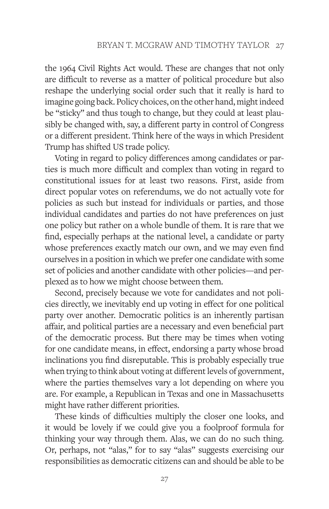the 1964 Civil Rights Act would. These are changes that not only are difficult to reverse as a matter of political procedure but also reshape the underlying social order such that it really is hard to imagine going back. Policy choices, on the other hand, might indeed be "sticky" and thus tough to change, but they could at least plausibly be changed with, say, a different party in control of Congress or a different president. Think here of the ways in which President Trump has shifted US trade policy.

Voting in regard to policy differences among candidates or parties is much more difficult and complex than voting in regard to constitutional issues for at least two reasons. First, aside from direct popular votes on referendums, we do not actually vote for policies as such but instead for individuals or parties, and those individual candidates and parties do not have preferences on just one policy but rather on a whole bundle of them. It is rare that we find, especially perhaps at the national level, a candidate or party whose preferences exactly match our own, and we may even find ourselves in a position in which we prefer one candidate with some set of policies and another candidate with other policies—and perplexed as to how we might choose between them.

Second, precisely because we vote for candidates and not policies directly, we inevitably end up voting in effect for one political party over another. Democratic politics is an inherently partisan affair, and political parties are a necessary and even beneficial part of the democratic process. But there may be times when voting for one candidate means, in effect, endorsing a party whose broad inclinations you find disreputable. This is probably especially true when trying to think about voting at different levels of government, where the parties themselves vary a lot depending on where you are. For example, a Republican in Texas and one in Massachusetts might have rather different priorities.

These kinds of difficulties multiply the closer one looks, and it would be lovely if we could give you a foolproof formula for thinking your way through them. Alas, we can do no such thing. Or, perhaps, not "alas," for to say "alas" suggests exercising our responsibilities as democratic citizens can and should be able to be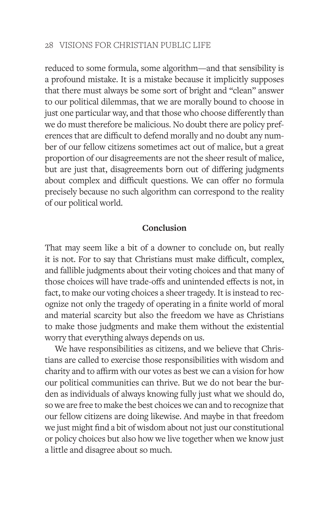reduced to some formula, some algorithm—and that sensibility is a profound mistake. It is a mistake because it implicitly supposes that there must always be some sort of bright and "clean" answer to our political dilemmas, that we are morally bound to choose in just one particular way, and that those who choose differently than we do must therefore be malicious. No doubt there are policy preferences that are difficult to defend morally and no doubt any number of our fellow citizens sometimes act out of malice, but a great proportion of our disagreements are not the sheer result of malice, but are just that, disagreements born out of differing judgments about complex and difficult questions. We can offer no formula precisely because no such algorithm can correspond to the reality of our political world.

## **Conclusion**

That may seem like a bit of a downer to conclude on, but really it is not. For to say that Christians must make difficult, complex, and fallible judgments about their voting choices and that many of those choices will have trade-offs and unintended effects is not, in fact, to make our voting choices a sheer tragedy. It is instead to recognize not only the tragedy of operating in a finite world of moral and material scarcity but also the freedom we have as Christians to make those judgments and make them without the existential worry that everything always depends on us.

We have responsibilities as citizens, and we believe that Christians are called to exercise those responsibilities with wisdom and charity and to affirm with our votes as best we can a vision for how our political communities can thrive. But we do not bear the burden as individuals of always knowing fully just what we should do, so we are free to make the best choices we can and to recognize that our fellow citizens are doing likewise. And maybe in that freedom we just might find a bit of wisdom about not just our constitutional or policy choices but also how we live together when we know just a little and disagree about so much.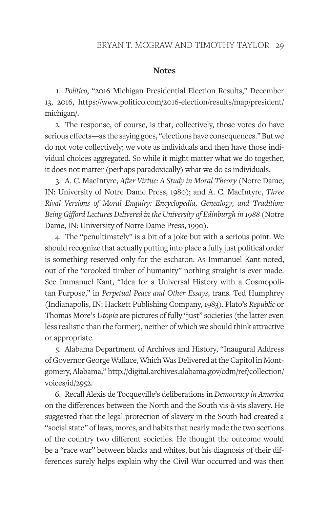#### **Notes**

1. *Politico*, "2016 Michigan Presidential Election Results," December 13, 2016, https://www.politico.com/2016-election/results/map/president/ michigan/.

2. The response, of course, is that, collectively, those votes do have serious effects—as the saying goes, "elections have consequences." But we do not vote collectively; we vote as individuals and then have those individual choices aggregated. So while it might matter what we do together, it does not matter (perhaps paradoxically) what we do as individuals.

3. A. C. MacIntyre, *After Virtue: A Study in Moral Theory* (Notre Dame, IN: University of Notre Dame Press, 1980); and A. C. MacIntyre, *Three Rival Versions of Moral Enquiry: Encyclopedia, Genealogy, and Tradition: Being Gifford Lectures Delivered in the University of Edinburgh in 1988* (Notre Dame, IN: University of Notre Dame Press, 1990).

4. The "penultimately" is a bit of a joke but with a serious point. We should recognize that actually putting into place a fully just political order is something reserved only for the eschaton. As Immanuel Kant noted, out of the "crooked timber of humanity" nothing straight is ever made. See Immanuel Kant, "Idea for a Universal History with a Cosmopolitan Purpose," in *Perpetual Peace and Other Essays*, trans. Ted Humphrey (Indianapolis, IN: Hackett Publishing Company, 1983). Plato's *Republic* or Thomas More's *Utopia* are pictures of fully "just" societies (the latter even less realistic than the former), neither of which we should think attractive or appropriate.

5. Alabama Department of Archives and History, "Inaugural Address of Governor George Wallace, Which Was Delivered at the Capitol in Montgomery, Alabama," http://digital.archives.alabama.gov/cdm/ref/collection/ voices/id/2952.

6. Recall Alexis de Tocqueville's deliberations in *Democracy in America* on the differences between the North and the South vis-à-vis slavery. He suggested that the legal protection of slavery in the South had created a "social state" of laws, mores, and habits that nearly made the two sections of the country two different societies. He thought the outcome would be a "race war" between blacks and whites, but his diagnosis of their differences surely helps explain why the Civil War occurred and was then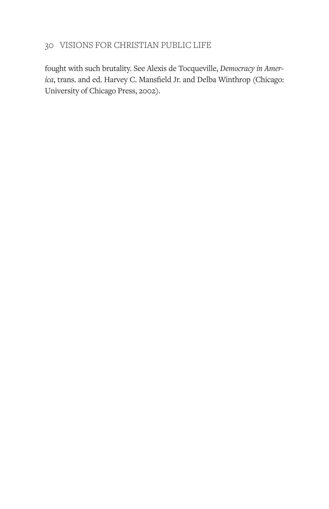fought with such brutality. See Alexis de Tocqueville, *Democracy in America*, trans. and ed. Harvey C. Mansfield Jr. and Delba Winthrop (Chicago: University of Chicago Press, 2002).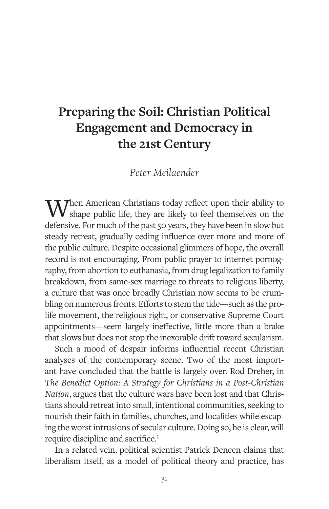# **Preparing the Soil: Christian Political Engagement and Democracy in the 21st Century**

*Peter Meilaender*

When American Christians today reflect upon their ability to  $\boldsymbol{V}$  shape public life, they are likely to feel themselves on the defensive. For much of the past 50 years, they have been in slow but steady retreat, gradually ceding influence over more and more of the public culture. Despite occasional glimmers of hope, the overall record is not encouraging. From public prayer to internet pornography, from abortion to euthanasia, from drug legalization to family breakdown, from same-sex marriage to threats to religious liberty, a culture that was once broadly Christian now seems to be crumbling on numerous fronts. Efforts to stem the tide—such as the prolife movement, the religious right, or conservative Supreme Court appointments—seem largely ineffective, little more than a brake that slows but does not stop the inexorable drift toward secularism.

Such a mood of despair informs influential recent Christian analyses of the contemporary scene. Two of the most important have concluded that the battle is largely over. Rod Dreher, in *The Benedict Option: A Strategy for Christians in a Post-Christian Nation*, argues that the culture wars have been lost and that Christians should retreat into small, intentional communities, seeking to nourish their faith in families, churches, and localities while escaping the worst intrusions of secular culture. Doing so, he is clear, will require discipline and sacrifice.1

In a related vein, political scientist Patrick Deneen claims that liberalism itself, as a model of political theory and practice, has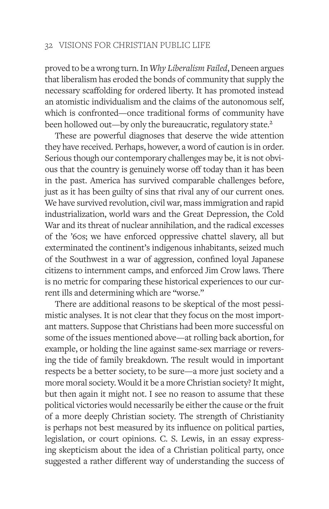proved to be a wrong turn. In *Why Liberalism Failed*, Deneen argues that liberalism has eroded the bonds of community that supply the necessary scaffolding for ordered liberty. It has promoted instead an atomistic individualism and the claims of the autonomous self, which is confronted—once traditional forms of community have been hollowed out—by only the bureaucratic, regulatory state.<sup>2</sup>

These are powerful diagnoses that deserve the wide attention they have received. Perhaps, however, a word of caution is in order. Serious though our contemporary challenges may be, it is not obvious that the country is genuinely worse off today than it has been in the past. America has survived comparable challenges before, just as it has been guilty of sins that rival any of our current ones. We have survived revolution, civil war, mass immigration and rapid industrialization, world wars and the Great Depression, the Cold War and its threat of nuclear annihilation, and the radical excesses of the '60s; we have enforced oppressive chattel slavery, all but exterminated the continent's indigenous inhabitants, seized much of the Southwest in a war of aggression, confined loyal Japanese citizens to internment camps, and enforced Jim Crow laws. There is no metric for comparing these historical experiences to our current ills and determining which are "worse."

There are additional reasons to be skeptical of the most pessimistic analyses. It is not clear that they focus on the most important matters. Suppose that Christians had been more successful on some of the issues mentioned above—at rolling back abortion, for example, or holding the line against same-sex marriage or reversing the tide of family breakdown. The result would in important respects be a better society, to be sure—a more just society and a more moral society. Would it be a more Christian society? It might, but then again it might not. I see no reason to assume that these political victories would necessarily be either the cause or the fruit of a more deeply Christian society. The strength of Christianity is perhaps not best measured by its influence on political parties, legislation, or court opinions. C. S. Lewis, in an essay expressing skepticism about the idea of a Christian political party, once suggested a rather different way of understanding the success of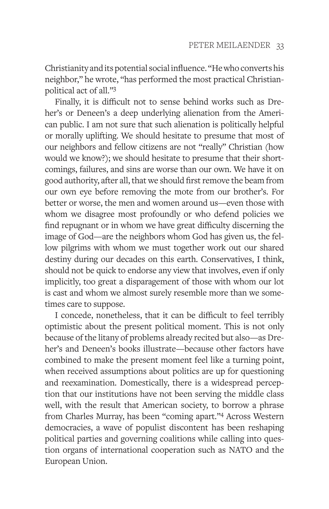Christianity and its potential social influence. "He who converts his neighbor," he wrote, "has performed the most practical Christianpolitical act of all."3

Finally, it is difficult not to sense behind works such as Dreher's or Deneen's a deep underlying alienation from the American public. I am not sure that such alienation is politically helpful or morally uplifting. We should hesitate to presume that most of our neighbors and fellow citizens are not "really" Christian (how would we know?); we should hesitate to presume that their shortcomings, failures, and sins are worse than our own. We have it on good authority, after all, that we should first remove the beam from our own eye before removing the mote from our brother's. For better or worse, the men and women around us—even those with whom we disagree most profoundly or who defend policies we find repugnant or in whom we have great difficulty discerning the image of God—are the neighbors whom God has given us, the fellow pilgrims with whom we must together work out our shared destiny during our decades on this earth. Conservatives, I think, should not be quick to endorse any view that involves, even if only implicitly, too great a disparagement of those with whom our lot is cast and whom we almost surely resemble more than we sometimes care to suppose.

I concede, nonetheless, that it can be difficult to feel terribly optimistic about the present political moment. This is not only because of the litany of problems already recited but also—as Dreher's and Deneen's books illustrate—because other factors have combined to make the present moment feel like a turning point, when received assumptions about politics are up for questioning and reexamination. Domestically, there is a widespread perception that our institutions have not been serving the middle class well, with the result that American society, to borrow a phrase from Charles Murray, has been "coming apart."4 Across Western democracies, a wave of populist discontent has been reshaping political parties and governing coalitions while calling into question organs of international cooperation such as NATO and the European Union.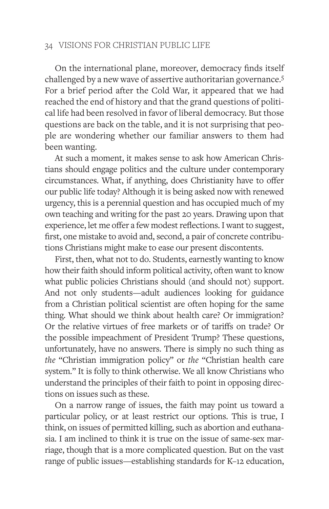On the international plane, moreover, democracy finds itself challenged by a new wave of assertive authoritarian governance.5 For a brief period after the Cold War, it appeared that we had reached the end of history and that the grand questions of political life had been resolved in favor of liberal democracy. But those questions are back on the table, and it is not surprising that people are wondering whether our familiar answers to them had been wanting.

At such a moment, it makes sense to ask how American Christians should engage politics and the culture under contemporary circumstances. What, if anything, does Christianity have to offer our public life today? Although it is being asked now with renewed urgency, this is a perennial question and has occupied much of my own teaching and writing for the past 20 years. Drawing upon that experience, let me offer a few modest reflections. I want to suggest, first, one mistake to avoid and, second, a pair of concrete contributions Christians might make to ease our present discontents.

First, then, what not to do. Students, earnestly wanting to know how their faith should inform political activity, often want to know what public policies Christians should (and should not) support. And not only students—adult audiences looking for guidance from a Christian political scientist are often hoping for the same thing. What should we think about health care? Or immigration? Or the relative virtues of free markets or of tariffs on trade? Or the possible impeachment of President Trump? These questions, unfortunately, have no answers. There is simply no such thing as *the* "Christian immigration policy" or *the* "Christian health care system." It is folly to think otherwise. We all know Christians who understand the principles of their faith to point in opposing directions on issues such as these.

On a narrow range of issues, the faith may point us toward a particular policy, or at least restrict our options. This is true, I think, on issues of permitted killing, such as abortion and euthanasia. I am inclined to think it is true on the issue of same-sex marriage, though that is a more complicated question. But on the vast range of public issues—establishing standards for K–12 education,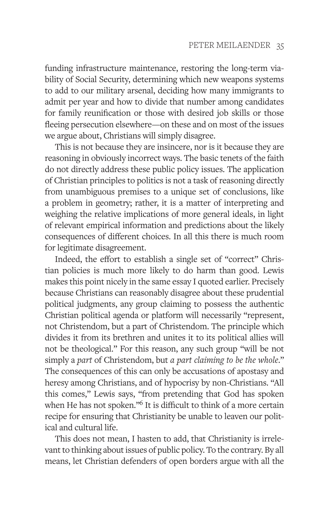funding infrastructure maintenance, restoring the long-term viability of Social Security, determining which new weapons systems to add to our military arsenal, deciding how many immigrants to admit per year and how to divide that number among candidates for family reunification or those with desired job skills or those fleeing persecution elsewhere—on these and on most of the issues we argue about, Christians will simply disagree.

This is not because they are insincere, nor is it because they are reasoning in obviously incorrect ways. The basic tenets of the faith do not directly address these public policy issues. The application of Christian principles to politics is not a task of reasoning directly from unambiguous premises to a unique set of conclusions, like a problem in geometry; rather, it is a matter of interpreting and weighing the relative implications of more general ideals, in light of relevant empirical information and predictions about the likely consequences of different choices. In all this there is much room for legitimate disagreement.

Indeed, the effort to establish a single set of "correct" Christian policies is much more likely to do harm than good. Lewis makes this point nicely in the same essay I quoted earlier. Precisely because Christians can reasonably disagree about these prudential political judgments, any group claiming to possess the authentic Christian political agenda or platform will necessarily "represent, not Christendom, but a part of Christendom. The principle which divides it from its brethren and unites it to its political allies will not be theological." For this reason, any such group "will be not simply a *part* of Christendom, but *a part claiming to be the whole*." The consequences of this can only be accusations of apostasy and heresy among Christians, and of hypocrisy by non-Christians. "All this comes," Lewis says, "from pretending that God has spoken when He has not spoken."<sup>6</sup> It is difficult to think of a more certain recipe for ensuring that Christianity be unable to leaven our political and cultural life.

This does not mean, I hasten to add, that Christianity is irrelevant to thinking about issues of public policy. To the contrary. By all means, let Christian defenders of open borders argue with all the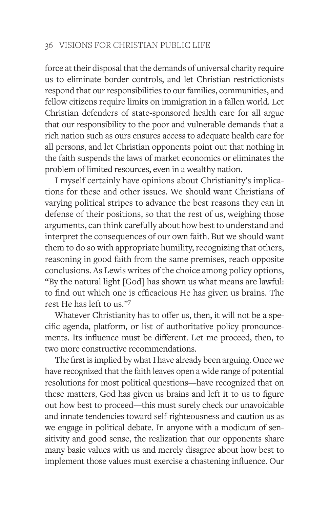force at their disposal that the demands of universal charity require us to eliminate border controls, and let Christian restrictionists respond that our responsibilities to our families, communities, and fellow citizens require limits on immigration in a fallen world. Let Christian defenders of state-sponsored health care for all argue that our responsibility to the poor and vulnerable demands that a rich nation such as ours ensures access to adequate health care for all persons, and let Christian opponents point out that nothing in the faith suspends the laws of market economics or eliminates the problem of limited resources, even in a wealthy nation.

I myself certainly have opinions about Christianity's implications for these and other issues. We should want Christians of varying political stripes to advance the best reasons they can in defense of their positions, so that the rest of us, weighing those arguments, can think carefully about how best to understand and interpret the consequences of our own faith. But we should want them to do so with appropriate humility, recognizing that others, reasoning in good faith from the same premises, reach opposite conclusions. As Lewis writes of the choice among policy options, "By the natural light [God] has shown us what means are lawful: to find out which one is efficacious He has given us brains. The rest He has left to us."7

Whatever Christianity has to offer us, then, it will not be a specific agenda, platform, or list of authoritative policy pronouncements. Its influence must be different. Let me proceed, then, to two more constructive recommendations.

The first is implied by what I have already been arguing. Once we have recognized that the faith leaves open a wide range of potential resolutions for most political questions—have recognized that on these matters, God has given us brains and left it to us to figure out how best to proceed—this must surely check our unavoidable and innate tendencies toward self-righteousness and caution us as we engage in political debate. In anyone with a modicum of sensitivity and good sense, the realization that our opponents share many basic values with us and merely disagree about how best to implement those values must exercise a chastening influence. Our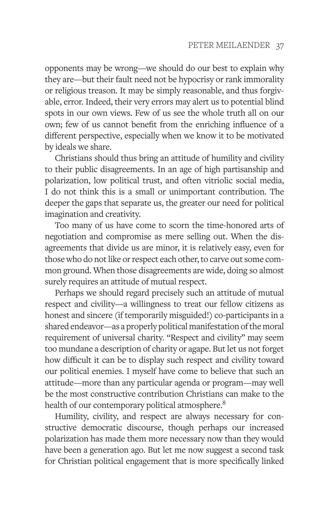opponents may be wrong—we should do our best to explain why they are—but their fault need not be hypocrisy or rank immorality or religious treason. It may be simply reasonable, and thus forgivable, error. Indeed, their very errors may alert us to potential blind spots in our own views. Few of us see the whole truth all on our own; few of us cannot benefit from the enriching influence of a different perspective, especially when we know it to be motivated by ideals we share.

Christians should thus bring an attitude of humility and civility to their public disagreements. In an age of high partisanship and polarization, low political trust, and often vitriolic social media, I do not think this is a small or unimportant contribution. The deeper the gaps that separate us, the greater our need for political imagination and creativity.

Too many of us have come to scorn the time-honored arts of negotiation and compromise as mere selling out. When the disagreements that divide us are minor, it is relatively easy, even for those who do not like or respect each other, to carve out some common ground. When those disagreements are wide, doing so almost surely requires an attitude of mutual respect.

Perhaps we should regard precisely such an attitude of mutual respect and civility—a willingness to treat our fellow citizens as honest and sincere (if temporarily misguided!) co-participants in a shared endeavor—as a properly political manifestation of the moral requirement of universal charity. "Respect and civility" may seem too mundane a description of charity or agape. But let us not forget how difficult it can be to display such respect and civility toward our political enemies. I myself have come to believe that such an attitude—more than any particular agenda or program—may well be the most constructive contribution Christians can make to the health of our contemporary political atmosphere.<sup>8</sup>

Humility, civility, and respect are always necessary for constructive democratic discourse, though perhaps our increased polarization has made them more necessary now than they would have been a generation ago. But let me now suggest a second task for Christian political engagement that is more specifically linked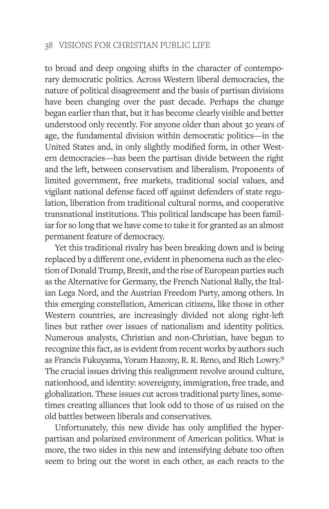to broad and deep ongoing shifts in the character of contemporary democratic politics. Across Western liberal democracies, the nature of political disagreement and the basis of partisan divisions have been changing over the past decade. Perhaps the change began earlier than that, but it has become clearly visible and better understood only recently. For anyone older than about 30 years of age, the fundamental division within democratic politics—in the United States and, in only slightly modified form, in other Western democracies—has been the partisan divide between the right and the left, between conservatism and liberalism. Proponents of limited government, free markets, traditional social values, and vigilant national defense faced off against defenders of state regulation, liberation from traditional cultural norms, and cooperative transnational institutions. This political landscape has been familiar for so long that we have come to take it for granted as an almost permanent feature of democracy.

Yet this traditional rivalry has been breaking down and is being replaced by a different one, evident in phenomena such as the election of Donald Trump, Brexit, and the rise of European parties such as the Alternative for Germany, the French National Rally, the Italian Lega Nord, and the Austrian Freedom Party, among others. In this emerging constellation, American citizens, like those in other Western countries, are increasingly divided not along right-left lines but rather over issues of nationalism and identity politics. Numerous analysts, Christian and non-Christian, have begun to recognize this fact, as is evident from recent works by authors such as Francis Fukuyama, Yoram Hazony, R. R. Reno, and Rich Lowry.9 The crucial issues driving this realignment revolve around culture, nationhood, and identity: sovereignty, immigration, free trade, and globalization. These issues cut across traditional party lines, sometimes creating alliances that look odd to those of us raised on the old battles between liberals and conservatives.

Unfortunately, this new divide has only amplified the hyperpartisan and polarized environment of American politics. What is more, the two sides in this new and intensifying debate too often seem to bring out the worst in each other, as each reacts to the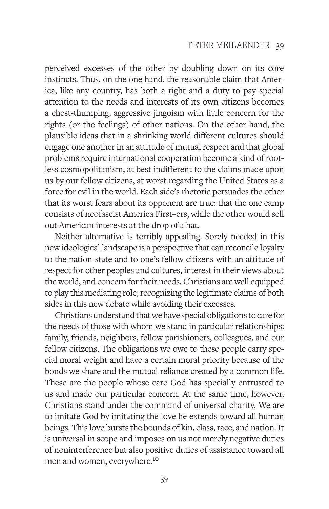perceived excesses of the other by doubling down on its core instincts. Thus, on the one hand, the reasonable claim that America, like any country, has both a right and a duty to pay special attention to the needs and interests of its own citizens becomes a chest-thumping, aggressive jingoism with little concern for the rights (or the feelings) of other nations. On the other hand, the plausible ideas that in a shrinking world different cultures should engage one another in an attitude of mutual respect and that global problems require international cooperation become a kind of rootless cosmopolitanism, at best indifferent to the claims made upon us by our fellow citizens, at worst regarding the United States as a force for evil in the world. Each side's rhetoric persuades the other that its worst fears about its opponent are true: that the one camp consists of neofascist America First–ers, while the other would sell out American interests at the drop of a hat.

Neither alternative is terribly appealing. Sorely needed in this new ideological landscape is a perspective that can reconcile loyalty to the nation-state and to one's fellow citizens with an attitude of respect for other peoples and cultures, interest in their views about the world, and concern for their needs. Christians are well equipped to play this mediating role, recognizing the legitimate claims of both sides in this new debate while avoiding their excesses.

Christians understand that we have special obligations to care for the needs of those with whom we stand in particular relationships: family, friends, neighbors, fellow parishioners, colleagues, and our fellow citizens. The obligations we owe to these people carry special moral weight and have a certain moral priority because of the bonds we share and the mutual reliance created by a common life. These are the people whose care God has specially entrusted to us and made our particular concern. At the same time, however, Christians stand under the command of universal charity. We are to imitate God by imitating the love he extends toward all human beings. This love bursts the bounds of kin, class, race, and nation. It is universal in scope and imposes on us not merely negative duties of noninterference but also positive duties of assistance toward all men and women, everywhere.10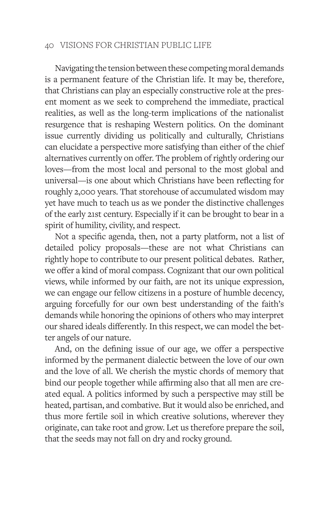Navigating the tension between these competing moral demands is a permanent feature of the Christian life. It may be, therefore, that Christians can play an especially constructive role at the present moment as we seek to comprehend the immediate, practical realities, as well as the long-term implications of the nationalist resurgence that is reshaping Western politics. On the dominant issue currently dividing us politically and culturally, Christians can elucidate a perspective more satisfying than either of the chief alternatives currently on offer. The problem of rightly ordering our loves—from the most local and personal to the most global and universal—is one about which Christians have been reflecting for roughly 2,000 years. That storehouse of accumulated wisdom may yet have much to teach us as we ponder the distinctive challenges of the early 21st century. Especially if it can be brought to bear in a spirit of humility, civility, and respect.

Not a specific agenda, then, not a party platform, not a list of detailed policy proposals—these are not what Christians can rightly hope to contribute to our present political debates. Rather, we offer a kind of moral compass. Cognizant that our own political views, while informed by our faith, are not its unique expression, we can engage our fellow citizens in a posture of humble decency, arguing forcefully for our own best understanding of the faith's demands while honoring the opinions of others who may interpret our shared ideals differently. In this respect, we can model the better angels of our nature.

And, on the defining issue of our age, we offer a perspective informed by the permanent dialectic between the love of our own and the love of all. We cherish the mystic chords of memory that bind our people together while affirming also that all men are created equal. A politics informed by such a perspective may still be heated, partisan, and combative. But it would also be enriched, and thus more fertile soil in which creative solutions, wherever they originate, can take root and grow. Let us therefore prepare the soil, that the seeds may not fall on dry and rocky ground.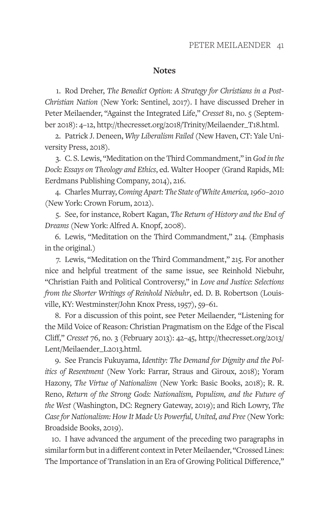#### **Notes**

1. Rod Dreher, *The Benedict Option: A Strategy for Christians in a Post-Christian Nation* (New York: Sentinel, 2017). I have discussed Dreher in Peter Meilaender, "Against the Integrated Life," *Cresset* 81, no. 5 (September 2018): 4–12, http://thecresset.org/2018/Trinity/Meilaender\_T18.html.

2. Patrick J. Deneen, *Why Liberalism Failed* (New Haven, CT: Yale University Press, 2018).

3. C. S. Lewis, "Meditation on the Third Commandment," in *God in the Dock: Essays on Theology and Ethics*, ed. Walter Hooper (Grand Rapids, MI: Eerdmans Publishing Company, 2014), 216.

4. Charles Murray, *Coming Apart: The State of White America, 1960–2010* (New York: Crown Forum, 2012).

5. See, for instance, Robert Kagan, *The Return of History and the End of Dreams* (New York: Alfred A. Knopf, 2008).

6. Lewis, "Meditation on the Third Commandment," 214. (Emphasis in the original.)

7. Lewis, "Meditation on the Third Commandment," 215. For another nice and helpful treatment of the same issue, see Reinhold Niebuhr, "Christian Faith and Political Controversy," in *Love and Justice: Selections from the Shorter Writings of Reinhold Niebuhr*, ed. D. B. Robertson (Louisville, KY: Westminster/John Knox Press, 1957), 59–61.

8. For a discussion of this point, see Peter Meilaender, "Listening for the Mild Voice of Reason: Christian Pragmatism on the Edge of the Fiscal Cliff," *Cresset* 76, no. 3 (February 2013): 42–45, http://thecresset.org/2013/ Lent/Meilaender\_L2013.html.

9. See Francis Fukuyama, *Identity: The Demand for Dignity and the Politics of Resentment* (New York: Farrar, Straus and Giroux, 2018); Yoram Hazony, *The Virtue of Nationalism* (New York: Basic Books, 2018); R. R. Reno, *Return of the Strong Gods: Nationalism, Populism, and the Future of the West* (Washington, DC: Regnery Gateway, 2019); and Rich Lowry, *The Case for Nationalism: How It Made Us Powerful, United, and Free* (New York: Broadside Books, 2019).

10. I have advanced the argument of the preceding two paragraphs in similar form but in a different context in Peter Meilaender, "Crossed Lines: The Importance of Translation in an Era of Growing Political Difference,"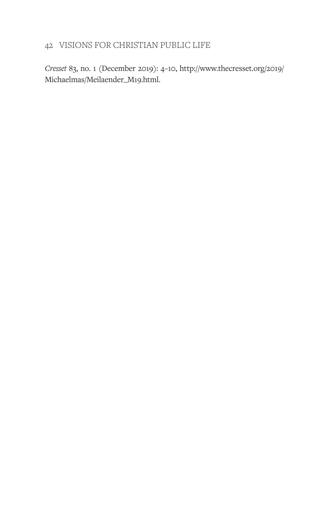*Cresset* 83, no. 1 (December 2019): 4–10, http://www.thecresset.org/2019/ Michaelmas/Meilaender\_M19.html.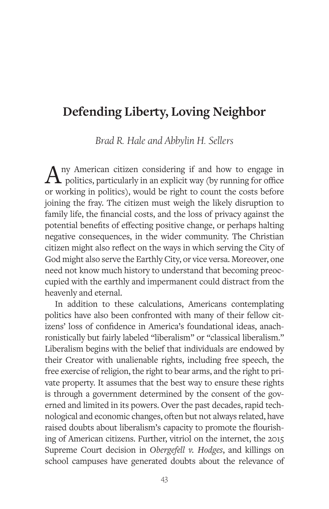# **Defending Liberty, Loving Neighbor**

*Brad R. Hale and Abbylin H. Sellers*

 $A$ <sup>ny American citizen considering</sup> if and how to engage in politics, particularly in an explicit way (by running for office) or working in politics), would be right to count the costs before joining the fray. The citizen must weigh the likely disruption to family life, the financial costs, and the loss of privacy against the potential benefits of effecting positive change, or perhaps halting negative consequences, in the wider community. The Christian citizen might also reflect on the ways in which serving the City of God might also serve the Earthly City, or vice versa. Moreover, one need not know much history to understand that becoming preoccupied with the earthly and impermanent could distract from the heavenly and eternal.

In addition to these calculations, Americans contemplating politics have also been confronted with many of their fellow citizens' loss of confidence in America's foundational ideas, anachronistically but fairly labeled "liberalism" or "classical liberalism." Liberalism begins with the belief that individuals are endowed by their Creator with unalienable rights, including free speech, the free exercise of religion, the right to bear arms, and the right to private property. It assumes that the best way to ensure these rights is through a government determined by the consent of the governed and limited in its powers. Over the past decades, rapid technological and economic changes, often but not always related, have raised doubts about liberalism's capacity to promote the flourishing of American citizens. Further, vitriol on the internet, the 2015 Supreme Court decision in *Obergefell v. Hodges*, and killings on school campuses have generated doubts about the relevance of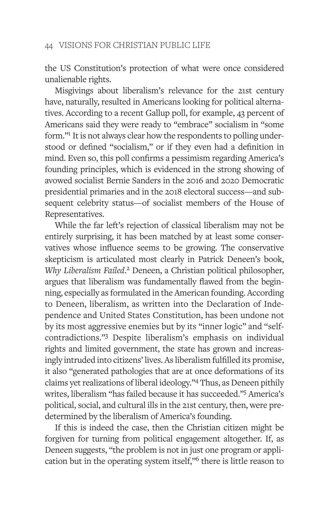the US Constitution's protection of what were once considered unalienable rights.

Misgivings about liberalism's relevance for the 21st century have, naturally, resulted in Americans looking for political alternatives. According to a recent Gallup poll, for example, 43 percent of Americans said they were ready to "embrace" socialism in "some form."<sup>1</sup> It is not always clear how the respondents to polling understood or defined "socialism," or if they even had a definition in mind. Even so, this poll confirms a pessimism regarding America's founding principles, which is evidenced in the strong showing of avowed socialist Bernie Sanders in the 2016 and 2020 Democratic presidential primaries and in the 2018 electoral success—and subsequent celebrity status—of socialist members of the House of Representatives.

While the far left's rejection of classical liberalism may not be entirely surprising, it has been matched by at least some conservatives whose influence seems to be growing. The conservative skepticism is articulated most clearly in Patrick Deneen's book, *Why Liberalism Failed*. 2 Deneen, a Christian political philosopher, argues that liberalism was fundamentally flawed from the beginning, especially as formulated in the American founding. According to Deneen, liberalism, as written into the Declaration of Independence and United States Constitution, has been undone not by its most aggressive enemies but by its "inner logic" and "selfcontradictions."3 Despite liberalism's emphasis on individual rights and limited government, the state has grown and increasingly intruded into citizens' lives. As liberalism fulfilled its promise, it also "generated pathologies that are at once deformations of its claims yet realizations of liberal ideology."4 Thus, as Deneen pithily writes, liberalism "has failed because it has succeeded."5 America's political, social, and cultural ills in the 21st century, then, were predetermined by the liberalism of America's founding.

If this is indeed the case, then the Christian citizen might be forgiven for turning from political engagement altogether. If, as Deneen suggests, "the problem is not in just one program or application but in the operating system itself,"6 there is little reason to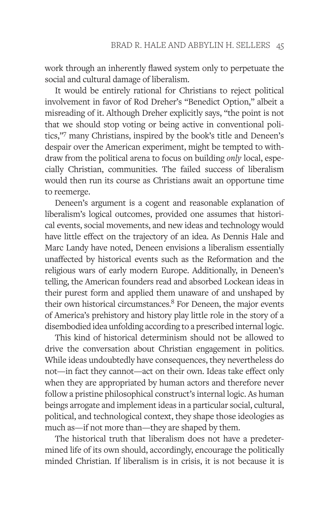work through an inherently flawed system only to perpetuate the social and cultural damage of liberalism.

It would be entirely rational for Christians to reject political involvement in favor of Rod Dreher's "Benedict Option," albeit a misreading of it. Although Dreher explicitly says, "the point is not that we should stop voting or being active in conventional politics,"7 many Christians, inspired by the book's title and Deneen's despair over the American experiment, might be tempted to withdraw from the political arena to focus on building *only* local, especially Christian, communities. The failed success of liberalism would then run its course as Christians await an opportune time to reemerge.

Deneen's argument is a cogent and reasonable explanation of liberalism's logical outcomes, provided one assumes that historical events, social movements, and new ideas and technology would have little effect on the trajectory of an idea. As Dennis Hale and Marc Landy have noted, Deneen envisions a liberalism essentially unaffected by historical events such as the Reformation and the religious wars of early modern Europe. Additionally, in Deneen's telling, the American founders read and absorbed Lockean ideas in their purest form and applied them unaware of and unshaped by their own historical circumstances.<sup>8</sup> For Deneen, the major events of America's prehistory and history play little role in the story of a disembodied idea unfolding according to a prescribed internal logic.

This kind of historical determinism should not be allowed to drive the conversation about Christian engagement in politics. While ideas undoubtedly have consequences, they nevertheless do not—in fact they cannot—act on their own. Ideas take effect only when they are appropriated by human actors and therefore never follow a pristine philosophical construct's internal logic. As human beings arrogate and implement ideas in a particular social, cultural, political, and technological context, they shape those ideologies as much as—if not more than—they are shaped by them.

The historical truth that liberalism does not have a predetermined life of its own should, accordingly, encourage the politically minded Christian. If liberalism is in crisis, it is not because it is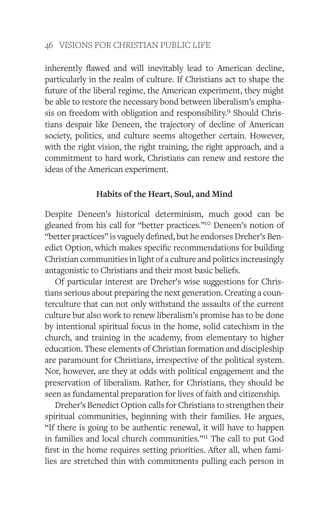inherently flawed and will inevitably lead to American decline, particularly in the realm of culture. If Christians act to shape the future of the liberal regime, the American experiment, they might be able to restore the necessary bond between liberalism's emphasis on freedom with obligation and responsibility.<sup>9</sup> Should Christians despair like Deneen, the trajectory of decline of American society, politics, and culture seems altogether certain. However, with the right vision, the right training, the right approach, and a commitment to hard work, Christians can renew and restore the ideas of the American experiment.

#### **Habits of the Heart, Soul, and Mind**

Despite Deneen's historical determinism, much good can be gleaned from his call for "better practices."10 Deneen's notion of "better practices" is vaguely defined, but he endorses Dreher's Benedict Option, which makes specific recommendations for building Christian communities in light of a culture and politics increasingly antagonistic to Christians and their most basic beliefs.

Of particular interest are Dreher's wise suggestions for Christians serious about preparing the next generation. Creating a counterculture that can not only withstand the assaults of the current culture but also work to renew liberalism's promise has to be done by intentional spiritual focus in the home, solid catechism in the church, and training in the academy, from elementary to higher education. These elements of Christian formation and discipleship are paramount for Christians, irrespective of the political system. Nor, however, are they at odds with political engagement and the preservation of liberalism. Rather, for Christians, they should be seen as fundamental preparation for lives of faith and citizenship.

Dreher's Benedict Option calls for Christians to strengthen their spiritual communities, beginning with their families. He argues, "If there is going to be authentic renewal, it will have to happen in families and local church communities."11 The call to put God first in the home requires setting priorities. After all, when families are stretched thin with commitments pulling each person in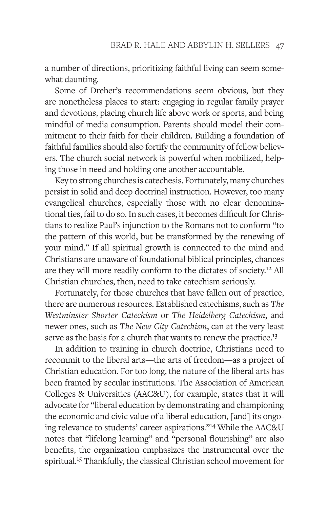a number of directions, prioritizing faithful living can seem somewhat daunting.

Some of Dreher's recommendations seem obvious, but they are nonetheless places to start: engaging in regular family prayer and devotions, placing church life above work or sports, and being mindful of media consumption. Parents should model their commitment to their faith for their children. Building a foundation of faithful families should also fortify the community of fellow believers. The church social network is powerful when mobilized, helping those in need and holding one another accountable.

Key to strong churches is catechesis. Fortunately, many churches persist in solid and deep doctrinal instruction. However, too many evangelical churches, especially those with no clear denominational ties, fail to do so. In such cases, it becomes difficult for Christians to realize Paul's injunction to the Romans not to conform "to the pattern of this world, but be transformed by the renewing of your mind." If all spiritual growth is connected to the mind and Christians are unaware of foundational biblical principles, chances are they will more readily conform to the dictates of society.<sup>12</sup> All Christian churches, then, need to take catechism seriously.

Fortunately, for those churches that have fallen out of practice, there are numerous resources. Established catechisms, such as *The Westminster Shorter Catechism* or *The Heidelberg Catechism*, and newer ones, such as *The New City Catechism*, can at the very least serve as the basis for a church that wants to renew the practice.<sup>13</sup>

In addition to training in church doctrine, Christians need to recommit to the liberal arts—the arts of freedom—as a project of Christian education. For too long, the nature of the liberal arts has been framed by secular institutions. The Association of American Colleges & Universities (AAC&U), for example, states that it will advocate for "liberal education by demonstrating and championing the economic and civic value of a liberal education, [and] its ongoing relevance to students' career aspirations."14 While the AAC&U notes that "lifelong learning" and "personal flourishing" are also benefits, the organization emphasizes the instrumental over the spiritual.<sup>15</sup> Thankfully, the classical Christian school movement for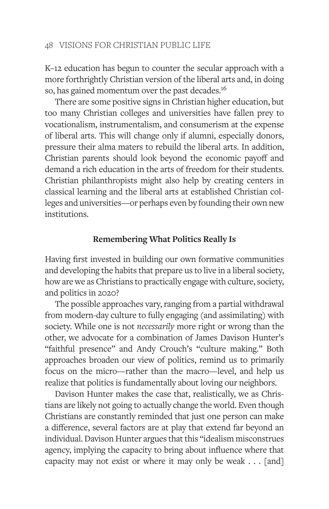K–12 education has begun to counter the secular approach with a more forthrightly Christian version of the liberal arts and, in doing so, has gained momentum over the past decades.<sup>16</sup>

There are some positive signs in Christian higher education, but too many Christian colleges and universities have fallen prey to vocationalism, instrumentalism, and consumerism at the expense of liberal arts. This will change only if alumni, especially donors, pressure their alma maters to rebuild the liberal arts. In addition, Christian parents should look beyond the economic payoff and demand a rich education in the arts of freedom for their students. Christian philanthropists might also help by creating centers in classical learning and the liberal arts at established Christian colleges and universities—or perhaps even by founding their own new institutions.

## **Remembering What Politics Really Is**

Having first invested in building our own formative communities and developing the habits that prepare us to live in a liberal society, how are we as Christians to practically engage with culture, society, and politics in 2020?

The possible approaches vary, ranging from a partial withdrawal from modern-day culture to fully engaging (and assimilating) with society. While one is not *necessarily* more right or wrong than the other, we advocate for a combination of James Davison Hunter's "faithful presence" and Andy Crouch's "culture making." Both approaches broaden our view of politics, remind us to primarily focus on the micro—rather than the macro—level, and help us realize that politics is fundamentally about loving our neighbors.

Davison Hunter makes the case that, realistically, we as Christians are likely not going to actually change the world. Even though Christians are constantly reminded that just one person can make a difference, several factors are at play that extend far beyond an individual. Davison Hunter argues that this "idealism misconstrues agency, implying the capacity to bring about influence where that capacity may not exist or where it may only be weak . . . [and]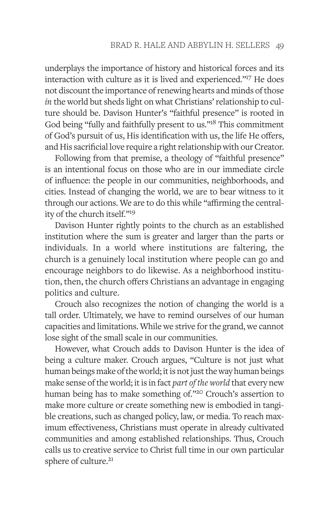underplays the importance of history and historical forces and its interaction with culture as it is lived and experienced."17 He does not discount the importance of renewing hearts and minds of those *in* the world but sheds light on what Christians' relationship to culture should be. Davison Hunter's "faithful presence" is rooted in God being "fully and faithfully present to us."<sup>18</sup> This commitment of God's pursuit of us, His identification with us, the life He offers, and His sacrificial love require a right relationship with our Creator.

Following from that premise, a theology of "faithful presence" is an intentional focus on those who are in our immediate circle of influence: the people in our communities, neighborhoods, and cities. Instead of changing the world, we are to bear witness to it through our actions. We are to do this while "affirming the centrality of the church itself."19

Davison Hunter rightly points to the church as an established institution where the sum is greater and larger than the parts or individuals. In a world where institutions are faltering, the church is a genuinely local institution where people can go and encourage neighbors to do likewise. As a neighborhood institution, then, the church offers Christians an advantage in engaging politics and culture.

Crouch also recognizes the notion of changing the world is a tall order. Ultimately, we have to remind ourselves of our human capacities and limitations. While we strive for the grand, we cannot lose sight of the small scale in our communities.

However, what Crouch adds to Davison Hunter is the idea of being a culture maker. Crouch argues, "Culture is not just what human beings make of the world; it is not just the way human beings make sense of the world; it is in fact *part of the world* that every new human being has to make something of."20 Crouch's assertion to make more culture or create something new is embodied in tangible creations, such as changed policy, law, or media. To reach maximum effectiveness, Christians must operate in already cultivated communities and among established relationships. Thus, Crouch calls us to creative service to Christ full time in our own particular sphere of culture.<sup>21</sup>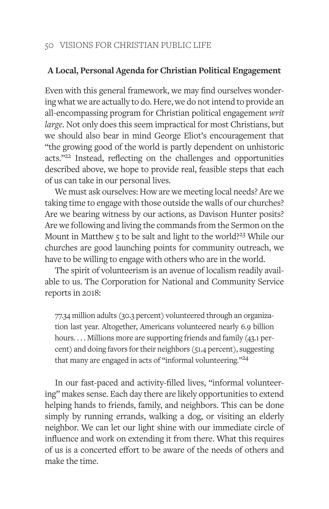## **A Local, Personal Agenda for Christian Political Engagement**

Even with this general framework, we may find ourselves wondering what we are actually to do. Here, we do not intend to provide an all-encompassing program for Christian political engagement *writ large*. Not only does this seem impractical for most Christians, but we should also bear in mind George Eliot's encouragement that "the growing good of the world is partly dependent on unhistoric acts."22 Instead, reflecting on the challenges and opportunities described above, we hope to provide real, feasible steps that each of us can take in our personal lives.

We must ask ourselves: How are we meeting local needs? Are we taking time to engage with those outside the walls of our churches? Are we bearing witness by our actions, as Davison Hunter posits? Are we following and living the commands from the Sermon on the Mount in Matthew 5 to be salt and light to the world?<sup>23</sup> While our churches are good launching points for community outreach, we have to be willing to engage with others who are in the world.

The spirit of volunteerism is an avenue of localism readily available to us. The Corporation for National and Community Service reports in 2018:

77.34 million adults (30.3 percent) volunteered through an organization last year. Altogether, Americans volunteered nearly 6.9 billion hours.... Millions more are supporting friends and family (43.1 percent) and doing favors for their neighbors (51.4 percent), suggesting that many are engaged in acts of "informal volunteering."<sup>24</sup>

In our fast-paced and activity-filled lives, "informal volunteering" makes sense. Each day there are likely opportunities to extend helping hands to friends, family, and neighbors. This can be done simply by running errands, walking a dog, or visiting an elderly neighbor. We can let our light shine with our immediate circle of influence and work on extending it from there. What this requires of us is a concerted effort to be aware of the needs of others and make the time.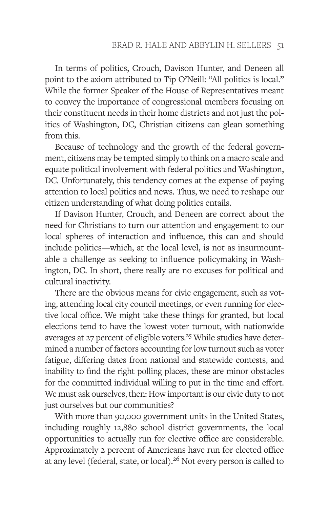In terms of politics, Crouch, Davison Hunter, and Deneen all point to the axiom attributed to Tip O'Neill: "All politics is local." While the former Speaker of the House of Representatives meant to convey the importance of congressional members focusing on their constituent needs in their home districts and not just the politics of Washington, DC, Christian citizens can glean something from this.

Because of technology and the growth of the federal government, citizens may be tempted simply to think on a macro scale and equate political involvement with federal politics and Washington, DC. Unfortunately, this tendency comes at the expense of paying attention to local politics and news. Thus, we need to reshape our citizen understanding of what doing politics entails.

If Davison Hunter, Crouch, and Deneen are correct about the need for Christians to turn our attention and engagement to our local spheres of interaction and influence, this can and should include politics—which, at the local level, is not as insurmountable a challenge as seeking to influence policymaking in Washington, DC. In short, there really are no excuses for political and cultural inactivity.

There are the obvious means for civic engagement, such as voting, attending local city council meetings, or even running for elective local office. We might take these things for granted, but local elections tend to have the lowest voter turnout, with nationwide averages at 27 percent of eligible voters.<sup>25</sup> While studies have determined a number of factors accounting for low turnout such as voter fatigue, differing dates from national and statewide contests, and inability to find the right polling places, these are minor obstacles for the committed individual willing to put in the time and effort. We must ask ourselves, then: How important is our civic duty to not just ourselves but our communities?

With more than 90,000 government units in the United States, including roughly 12,880 school district governments, the local opportunities to actually run for elective office are considerable. Approximately 2 percent of Americans have run for elected office at any level (federal, state, or local).<sup>26</sup> Not every person is called to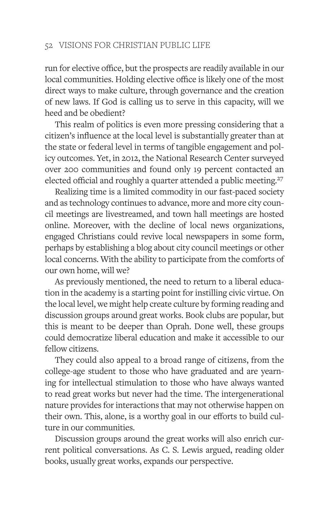run for elective office, but the prospects are readily available in our local communities. Holding elective office is likely one of the most direct ways to make culture, through governance and the creation of new laws. If God is calling us to serve in this capacity, will we heed and be obedient?

This realm of politics is even more pressing considering that a citizen's influence at the local level is substantially greater than at the state or federal level in terms of tangible engagement and policy outcomes. Yet, in 2012, the National Research Center surveyed over 200 communities and found only 19 percent contacted an elected official and roughly a quarter attended a public meeting.<sup>27</sup>

Realizing time is a limited commodity in our fast-paced society and as technology continues to advance, more and more city council meetings are livestreamed, and town hall meetings are hosted online. Moreover, with the decline of local news organizations, engaged Christians could revive local newspapers in some form, perhaps by establishing a blog about city council meetings or other local concerns. With the ability to participate from the comforts of our own home, will we?

As previously mentioned, the need to return to a liberal education in the academy is a starting point for instilling civic virtue. On the local level, we might help create culture by forming reading and discussion groups around great works. Book clubs are popular, but this is meant to be deeper than Oprah. Done well, these groups could democratize liberal education and make it accessible to our fellow citizens.

They could also appeal to a broad range of citizens, from the college-age student to those who have graduated and are yearning for intellectual stimulation to those who have always wanted to read great works but never had the time. The intergenerational nature provides for interactions that may not otherwise happen on their own. This, alone, is a worthy goal in our efforts to build culture in our communities.

Discussion groups around the great works will also enrich current political conversations. As C. S. Lewis argued, reading older books, usually great works, expands our perspective.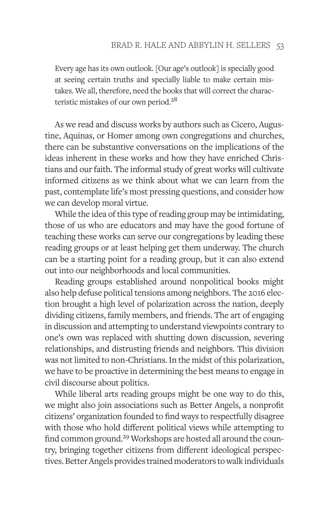Every age has its own outlook. [Our age's outlook] is specially good at seeing certain truths and specially liable to make certain mistakes. We all, therefore, need the books that will correct the characteristic mistakes of our own period.<sup>28</sup>

As we read and discuss works by authors such as Cicero, Augustine, Aquinas, or Homer among own congregations and churches, there can be substantive conversations on the implications of the ideas inherent in these works and how they have enriched Christians and our faith. The informal study of great works will cultivate informed citizens as we think about what we can learn from the past, contemplate life's most pressing questions, and consider how we can develop moral virtue.

While the idea of this type of reading group may be intimidating, those of us who are educators and may have the good fortune of teaching these works can serve our congregations by leading these reading groups or at least helping get them underway. The church can be a starting point for a reading group, but it can also extend out into our neighborhoods and local communities.

Reading groups established around nonpolitical books might also help defuse political tensions among neighbors. The 2016 election brought a high level of polarization across the nation, deeply dividing citizens, family members, and friends. The art of engaging in discussion and attempting to understand viewpoints contrary to one's own was replaced with shutting down discussion, severing relationships, and distrusting friends and neighbors. This division was not limited to non-Christians. In the midst of this polarization, we have to be proactive in determining the best means to engage in civil discourse about politics.

While liberal arts reading groups might be one way to do this, we might also join associations such as Better Angels, a nonprofit citizens' organization founded to find ways to respectfully disagree with those who hold different political views while attempting to find common ground.<sup>29</sup> Workshops are hosted all around the country, bringing together citizens from different ideological perspectives. Better Angels provides trained moderators to walk individuals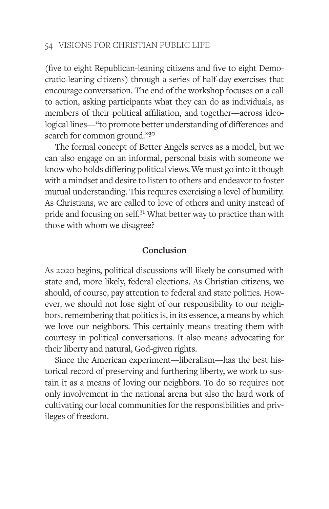(five to eight Republican-leaning citizens and five to eight Democratic-leaning citizens) through a series of half-day exercises that encourage conversation. The end of the workshop focuses on a call to action, asking participants what they can do as individuals, as members of their political affiliation, and together—across ideological lines—"to promote better understanding of differences and search for common ground."30

The formal concept of Better Angels serves as a model, but we can also engage on an informal, personal basis with someone we know who holds differing political views. We must go into it though with a mindset and desire to listen to others and endeavor to foster mutual understanding. This requires exercising a level of humility. As Christians, we are called to love of others and unity instead of pride and focusing on self.<sup>31</sup> What better way to practice than with those with whom we disagree?

## **Conclusion**

As 2020 begins, political discussions will likely be consumed with state and, more likely, federal elections. As Christian citizens, we should, of course, pay attention to federal and state politics. However, we should not lose sight of our responsibility to our neighbors, remembering that politics is, in its essence, a means by which we love our neighbors. This certainly means treating them with courtesy in political conversations. It also means advocating for their liberty and natural, God-given rights.

Since the American experiment—liberalism—has the best historical record of preserving and furthering liberty, we work to sustain it as a means of loving our neighbors. To do so requires not only involvement in the national arena but also the hard work of cultivating our local communities for the responsibilities and privileges of freedom.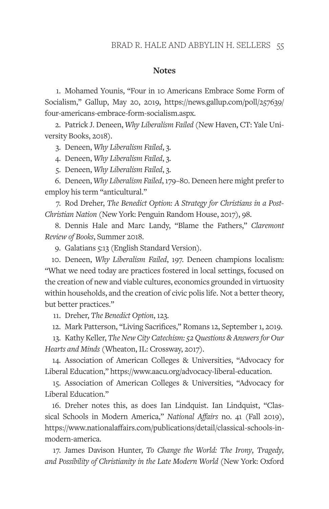#### **Notes**

1. Mohamed Younis, "Four in 10 Americans Embrace Some Form of Socialism," Gallup, May 20, 2019, https://news.gallup.com/poll/257639/ four-americans-embrace-form-socialism.aspx.

2. Patrick J. Deneen, *Why Liberalism Failed* (New Haven, CT: Yale University Books, 2018).

3. Deneen, *Why Liberalism Failed*, 3.

4. Deneen, *Why Liberalism Failed*, 3.

5. Deneen, *Why Liberalism Failed*, 3.

6. Deneen, *Why Liberalism Failed*, 179–80. Deneen here might prefer to employ his term "anticultural."

7. Rod Dreher, *The Benedict Option: A Strategy for Christians in a Post-Christian Nation* (New York: Penguin Random House, 2017), 98.

8. Dennis Hale and Marc Landy, "Blame the Fathers," *Claremont Review of Books*, Summer 2018.

9. Galatians 5:13 (English Standard Version).

10. Deneen, *Why Liberalism Failed*, 197. Deneen champions localism: "What we need today are practices fostered in local settings, focused on the creation of new and viable cultures, economics grounded in virtuosity within households, and the creation of civic polis life. Not a better theory, but better practices."

11. Dreher, *The Benedict Option*, 123.

12. Mark Patterson, "Living Sacrifices," Romans 12, September 1, 2019.

13. Kathy Keller, *The New City Catechism: 52 Questions & Answers for Our Hearts and Minds* (Wheaton, IL: Crossway, 2017).

14. Association of American Colleges & Universities, "Advocacy for Liberal Education," https://www.aacu.org/advocacy-liberal-education.

15. Association of American Colleges & Universities, "Advocacy for Liberal Education."

16. Dreher notes this, as does Ian Lindquist. Ian Lindquist, "Classical Schools in Modern America," *National Affairs* no. 41 (Fall 2019), https://www.nationalaffairs.com/publications/detail/classical-schools-inmodern-america.

17. James Davison Hunter, *To Change the World: The Irony, Tragedy, and Possibility of Christianity in the Late Modern World* (New York: Oxford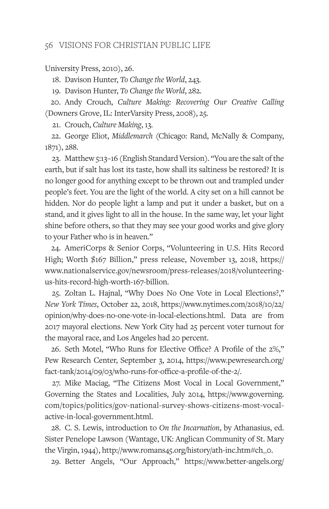University Press, 2010), 26.

18. Davison Hunter, *To Change the World*, 243.

19. Davison Hunter, *To Change the World*, 282.

20. Andy Crouch, *Culture Making: Recovering Our Creative Calling* (Downers Grove, IL: InterVarsity Press, 2008), 25.

21. Crouch, *Culture Making*, 13.

22. George Eliot, *Middlemarch* (Chicago: Rand, McNally & Company, 1871), 288.

23. Matthew 5:13–16 (English Standard Version). "You are the salt of the earth, but if salt has lost its taste, how shall its saltiness be restored? It is no longer good for anything except to be thrown out and trampled under people's feet. You are the light of the world. A city set on a hill cannot be hidden. Nor do people light a lamp and put it under a basket, but on a stand, and it gives light to all in the house. In the same way, let your light shine before others, so that they may see your good works and give glory to your Father who is in heaven."

24. AmeriCorps & Senior Corps, "Volunteering in U.S. Hits Record High; Worth \$167 Billion," press release, November 13, 2018, https:// www.nationalservice.gov/newsroom/press-releases/2018/volunteeringus-hits-record-high-worth-167-billion.

25. Zoltan L. Hajnal, "Why Does No One Vote in Local Elections?," *New York Times*, October 22, 2018, https://www.nytimes.com/2018/10/22/ opinion/why-does-no-one-vote-in-local-elections.html. Data are from 2017 mayoral elections. New York City had 25 percent voter turnout for the mayoral race, and Los Angeles had 20 percent.

26. Seth Motel, "Who Runs for Elective Office? A Profile of the 2%," Pew Research Center, September 3, 2014, https://www.pewresearch.org/ fact-tank/2014/09/03/who-runs-for-office-a-profile-of-the-2/.

27. Mike Maciag, "The Citizens Most Vocal in Local Government," Governing the States and Localities, July 2014, https://www.governing. com/topics/politics/gov-national-survey-shows-citizens-most-vocalactive-in-local-government.html.

28. C. S. Lewis, introduction to *On the Incarnation*, by Athanasius, ed. Sister Penelope Lawson (Wantage, UK: Anglican Community of St. Mary the Virgin, 1944), http://www.romans45.org/history/ath-inc.htm#ch\_0.

29. Better Angels, "Our Approach," https://www.better-angels.org/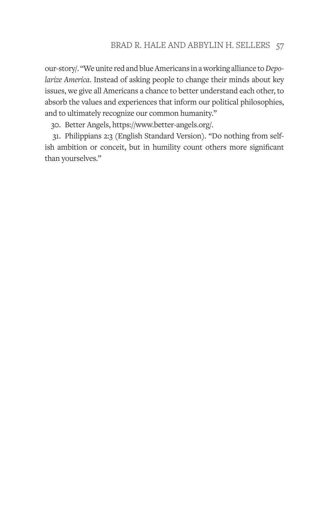our-story/. "We unite red and blue Americans in a working alliance to *Depolarize America*. Instead of asking people to change their minds about key issues, we give all Americans a chance to better understand each other, to absorb the values and experiences that inform our political philosophies, and to ultimately recognize our common humanity."

30. Better Angels, https://www.better-angels.org/.

31. Philippians 2:3 (English Standard Version). "Do nothing from selfish ambition or conceit, but in humility count others more significant than yourselves."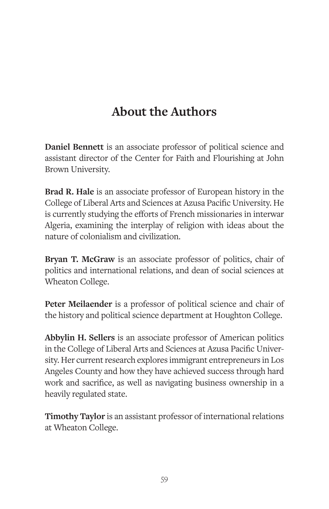# **About the Authors**

**Daniel Bennett** is an associate professor of political science and assistant director of the Center for Faith and Flourishing at John Brown University.

**Brad R. Hale** is an associate professor of European history in the College of Liberal Arts and Sciences at Azusa Pacific University. He is currently studying the efforts of French missionaries in interwar Algeria, examining the interplay of religion with ideas about the nature of colonialism and civilization.

**Bryan T. McGraw** is an associate professor of politics, chair of politics and international relations, and dean of social sciences at Wheaton College.

**Peter Meilaender** is a professor of political science and chair of the history and political science department at Houghton College.

**Abbylin H. Sellers** is an associate professor of American politics in the College of Liberal Arts and Sciences at Azusa Pacific University. Her current research explores immigrant entrepreneurs in Los Angeles County and how they have achieved success through hard work and sacrifice, as well as navigating business ownership in a heavily regulated state.

**Timothy Taylor** is an assistant professor of international relations at Wheaton College.